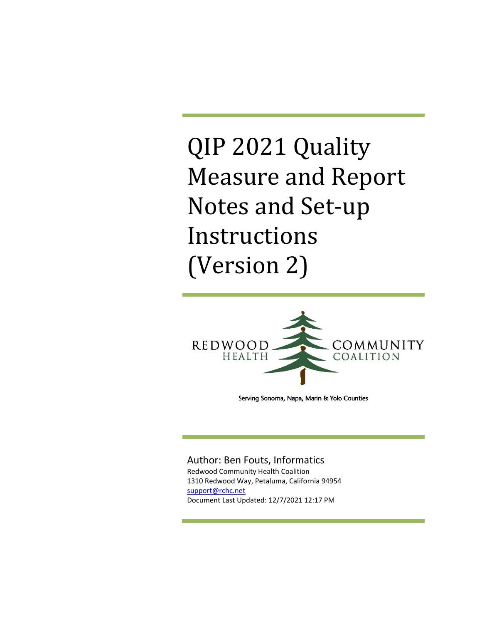

Serving Sonoma, Napa, Marin & Yolo Counties

Author: Ben Fouts, Informatics

Redwood Community Health Coalition 1310 Redwood Way, Petaluma, California 94954 [support@rchc.net](mailto:support@rchc.net) Document Last Updated: 12/7/2021 12:17 PM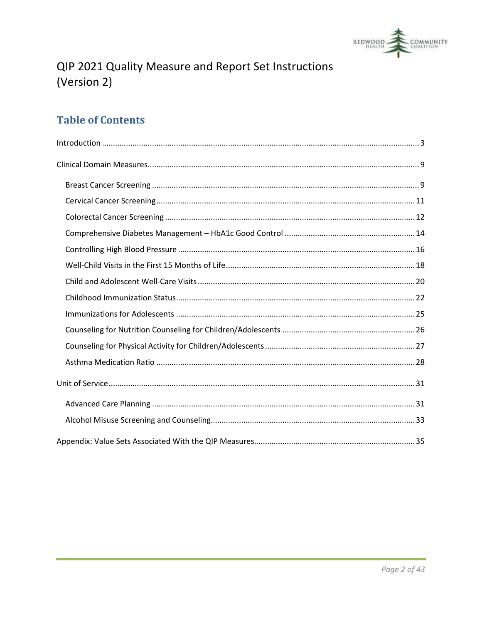

#### **Table of Contents**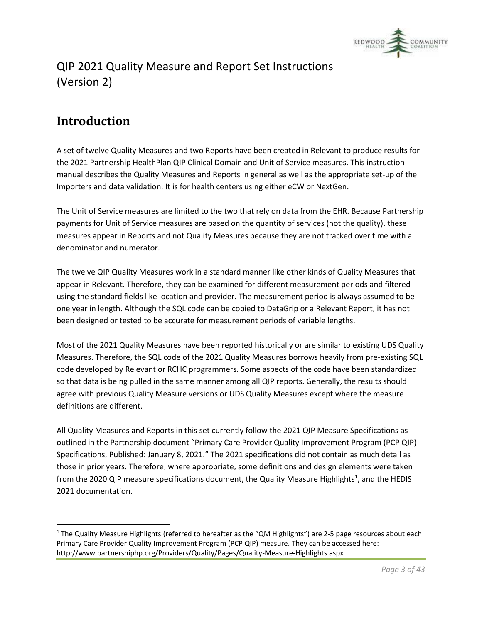

### <span id="page-2-0"></span>**Introduction**

A set of twelve Quality Measures and two Reports have been created in Relevant to produce results for the 2021 Partnership HealthPlan QIP Clinical Domain and Unit of Service measures. This instruction manual describes the Quality Measures and Reports in general as well as the appropriate set-up of the Importers and data validation. It is for health centers using either eCW or NextGen.

The Unit of Service measures are limited to the two that rely on data from the EHR. Because Partnership payments for Unit of Service measures are based on the quantity of services (not the quality), these measures appear in Reports and not Quality Measures because they are not tracked over time with a denominator and numerator.

The twelve QIP Quality Measures work in a standard manner like other kinds of Quality Measures that appear in Relevant. Therefore, they can be examined for different measurement periods and filtered using the standard fields like location and provider. The measurement period is always assumed to be one year in length. Although the SQL code can be copied to DataGrip or a Relevant Report, it has not been designed or tested to be accurate for measurement periods of variable lengths.

Most of the 2021 Quality Measures have been reported historically or are similar to existing UDS Quality Measures. Therefore, the SQL code of the 2021 Quality Measures borrows heavily from pre-existing SQL code developed by Relevant or RCHC programmers. Some aspects of the code have been standardized so that data is being pulled in the same manner among all QIP reports. Generally, the results should agree with previous Quality Measure versions or UDS Quality Measures except where the measure definitions are different.

All Quality Measures and Reports in this set currently follow the 2021 QIP Measure Specifications as outlined in the Partnership document "Primary Care Provider Quality Improvement Program (PCP QIP) Specifications, Published: January 8, 2021." The 2021 specifications did not contain as much detail as those in prior years. Therefore, where appropriate, some definitions and design elements were taken from the 2020 QIP measure specifications document, the Quality Measure Highlights<sup>1</sup>, and the HEDIS 2021 documentation.

<sup>&</sup>lt;sup>1</sup> The Quality Measure Highlights (referred to hereafter as the "QM Highlights") are 2-5 page resources about each Primary Care Provider Quality Improvement Program (PCP QIP) measure. They can be accessed here: http://www.partnershiphp.org/Providers/Quality/Pages/Quality-Measure-Highlights.aspx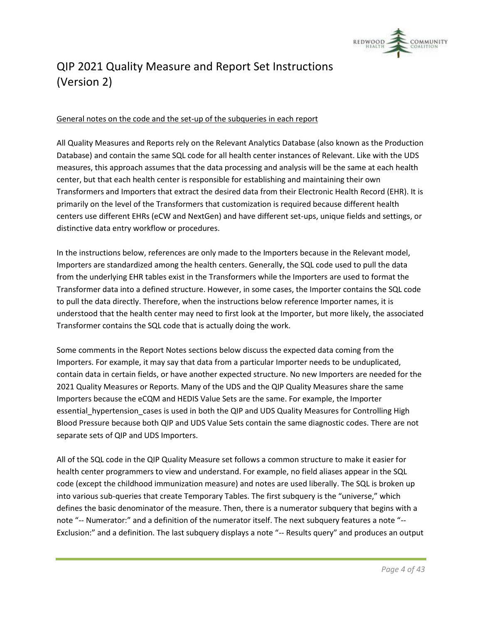

#### General notes on the code and the set-up of the subqueries in each report

All Quality Measures and Reports rely on the Relevant Analytics Database (also known as the Production Database) and contain the same SQL code for all health center instances of Relevant. Like with the UDS measures, this approach assumes that the data processing and analysis will be the same at each health center, but that each health center is responsible for establishing and maintaining their own Transformers and Importers that extract the desired data from their Electronic Health Record (EHR). It is primarily on the level of the Transformers that customization is required because different health centers use different EHRs (eCW and NextGen) and have different set-ups, unique fields and settings, or distinctive data entry workflow or procedures.

In the instructions below, references are only made to the Importers because in the Relevant model, Importers are standardized among the health centers. Generally, the SQL code used to pull the data from the underlying EHR tables exist in the Transformers while the Importers are used to format the Transformer data into a defined structure. However, in some cases, the Importer contains the SQL code to pull the data directly. Therefore, when the instructions below reference Importer names, it is understood that the health center may need to first look at the Importer, but more likely, the associated Transformer contains the SQL code that is actually doing the work.

Some comments in the Report Notes sections below discuss the expected data coming from the Importers. For example, it may say that data from a particular Importer needs to be unduplicated, contain data in certain fields, or have another expected structure. No new Importers are needed for the 2021 Quality Measures or Reports. Many of the UDS and the QIP Quality Measures share the same Importers because the eCQM and HEDIS Value Sets are the same. For example, the Importer essential\_hypertension\_cases is used in both the QIP and UDS Quality Measures for Controlling High Blood Pressure because both QIP and UDS Value Sets contain the same diagnostic codes. There are not separate sets of QIP and UDS Importers.

All of the SQL code in the QIP Quality Measure set follows a common structure to make it easier for health center programmers to view and understand. For example, no field aliases appear in the SQL code (except the childhood immunization measure) and notes are used liberally. The SQL is broken up into various sub-queries that create Temporary Tables. The first subquery is the "universe," which defines the basic denominator of the measure. Then, there is a numerator subquery that begins with a note "-- Numerator:" and a definition of the numerator itself. The next subquery features a note "-- Exclusion:" and a definition. The last subquery displays a note "-- Results query" and produces an output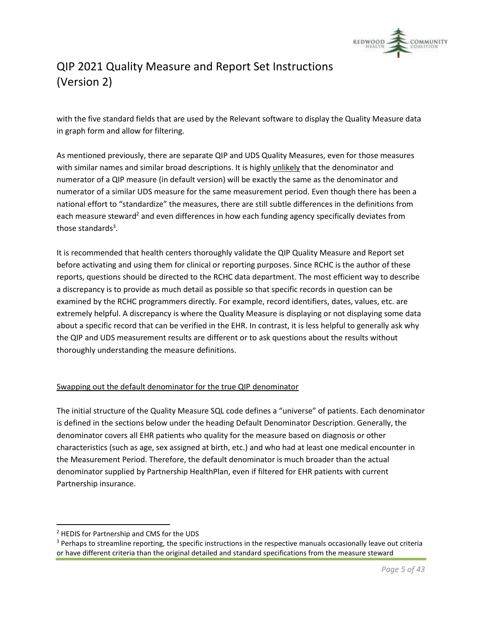

with the five standard fields that are used by the Relevant software to display the Quality Measure data in graph form and allow for filtering.

As mentioned previously, there are separate QIP and UDS Quality Measures, even for those measures with similar names and similar broad descriptions. It is highly unlikely that the denominator and numerator of a QIP measure (in default version) will be exactly the same as the denominator and numerator of a similar UDS measure for the same measurement period. Even though there has been a national effort to "standardize" the measures, there are still subtle differences in the definitions from each measure steward<sup>2</sup> and even differences in how each funding agency specifically deviates from those standards<sup>3</sup>.

It is recommended that health centers thoroughly validate the QIP Quality Measure and Report set before activating and using them for clinical or reporting purposes. Since RCHC is the author of these reports, questions should be directed to the RCHC data department. The most efficient way to describe a discrepancy is to provide as much detail as possible so that specific records in question can be examined by the RCHC programmers directly. For example, record identifiers, dates, values, etc. are extremely helpful. A discrepancy is where the Quality Measure is displaying or not displaying some data about a specific record that can be verified in the EHR. In contrast, it is less helpful to generally ask why the QIP and UDS measurement results are different or to ask questions about the results without thoroughly understanding the measure definitions.

#### Swapping out the default denominator for the true QIP denominator

The initial structure of the Quality Measure SQL code defines a "universe" of patients. Each denominator is defined in the sections below under the heading Default Denominator Description. Generally, the denominator covers all EHR patients who quality for the measure based on diagnosis or other characteristics (such as age, sex assigned at birth, etc.) and who had at least one medical encounter in the Measurement Period. Therefore, the default denominator is much broader than the actual denominator supplied by Partnership HealthPlan, even if filtered for EHR patients with current Partnership insurance.

<sup>2</sup> HEDIS for Partnership and CMS for the UDS

<sup>&</sup>lt;sup>3</sup> Perhaps to streamline reporting, the specific instructions in the respective manuals occasionally leave out criteria or have different criteria than the original detailed and standard specifications from the measure steward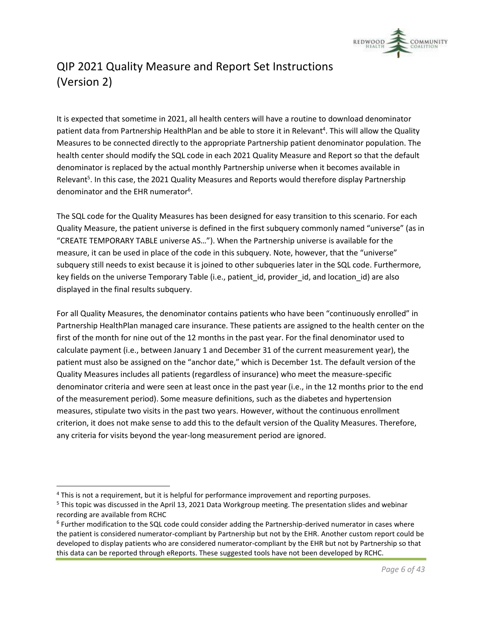

It is expected that sometime in 2021, all health centers will have a routine to download denominator patient data from Partnership HealthPlan and be able to store it in Relevant<sup>4</sup>. This will allow the Quality Measures to be connected directly to the appropriate Partnership patient denominator population. The health center should modify the SQL code in each 2021 Quality Measure and Report so that the default denominator is replaced by the actual monthly Partnership universe when it becomes available in Relevant<sup>5</sup>. In this case, the 2021 Quality Measures and Reports would therefore display Partnership denominator and the EHR numerator<sup>6</sup>.

The SQL code for the Quality Measures has been designed for easy transition to this scenario. For each Quality Measure, the patient universe is defined in the first subquery commonly named "universe" (as in "CREATE TEMPORARY TABLE universe AS…"). When the Partnership universe is available for the measure, it can be used in place of the code in this subquery. Note, however, that the "universe" subquery still needs to exist because it is joined to other subqueries later in the SQL code. Furthermore, key fields on the universe Temporary Table (i.e., patient\_id, provider\_id, and location\_id) are also displayed in the final results subquery.

For all Quality Measures, the denominator contains patients who have been "continuously enrolled" in Partnership HealthPlan managed care insurance. These patients are assigned to the health center on the first of the month for nine out of the 12 months in the past year. For the final denominator used to calculate payment (i.e., between January 1 and December 31 of the current measurement year), the patient must also be assigned on the "anchor date," which is December 1st. The default version of the Quality Measures includes all patients (regardless of insurance) who meet the measure-specific denominator criteria and were seen at least once in the past year (i.e., in the 12 months prior to the end of the measurement period). Some measure definitions, such as the diabetes and hypertension measures, stipulate two visits in the past two years. However, without the continuous enrollment criterion, it does not make sense to add this to the default version of the Quality Measures. Therefore, any criteria for visits beyond the year-long measurement period are ignored.

<sup>4</sup> This is not a requirement, but it is helpful for performance improvement and reporting purposes.

<sup>5</sup> This topic was discussed in the April 13, 2021 Data Workgroup meeting. The presentation slides and webinar recording are available from RCHC

<sup>&</sup>lt;sup>6</sup> Further modification to the SQL code could consider adding the Partnership-derived numerator in cases where the patient is considered numerator-compliant by Partnership but not by the EHR. Another custom report could be developed to display patients who are considered numerator-compliant by the EHR but not by Partnership so that this data can be reported through eReports. These suggested tools have not been developed by RCHC.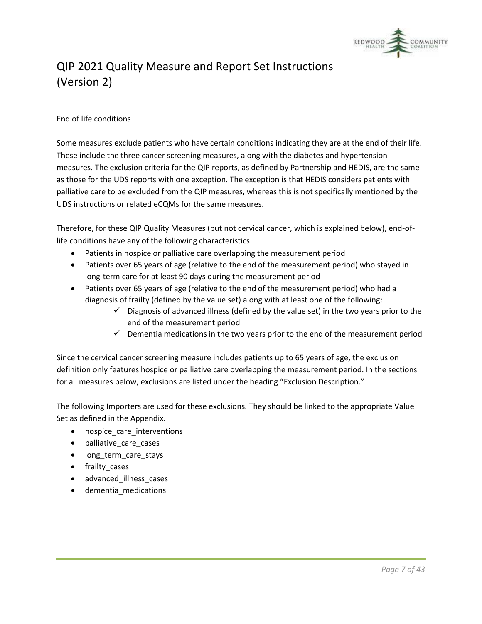

#### End of life conditions

Some measures exclude patients who have certain conditions indicating they are at the end of their life. These include the three cancer screening measures, along with the diabetes and hypertension measures. The exclusion criteria for the QIP reports, as defined by Partnership and HEDIS, are the same as those for the UDS reports with one exception. The exception is that HEDIS considers patients with palliative care to be excluded from the QIP measures, whereas this is not specifically mentioned by the UDS instructions or related eCQMs for the same measures.

Therefore, for these QIP Quality Measures (but not cervical cancer, which is explained below), end-oflife conditions have any of the following characteristics:

- Patients in hospice or palliative care overlapping the measurement period
- Patients over 65 years of age (relative to the end of the measurement period) who stayed in long-term care for at least 90 days during the measurement period
- Patients over 65 years of age (relative to the end of the measurement period) who had a diagnosis of frailty (defined by the value set) along with at least one of the following:
	- $\checkmark$  Diagnosis of advanced illness (defined by the value set) in the two years prior to the end of the measurement period
	- $\checkmark$  Dementia medications in the two years prior to the end of the measurement period

Since the cervical cancer screening measure includes patients up to 65 years of age, the exclusion definition only features hospice or palliative care overlapping the measurement period. In the sections for all measures below, exclusions are listed under the heading "Exclusion Description."

The following Importers are used for these exclusions. They should be linked to the appropriate Value Set as defined in the Appendix.

- hospice care interventions
- palliative care cases
- long\_term\_care\_stays
- frailty\_cases
- advanced\_illness\_cases
- dementia\_medications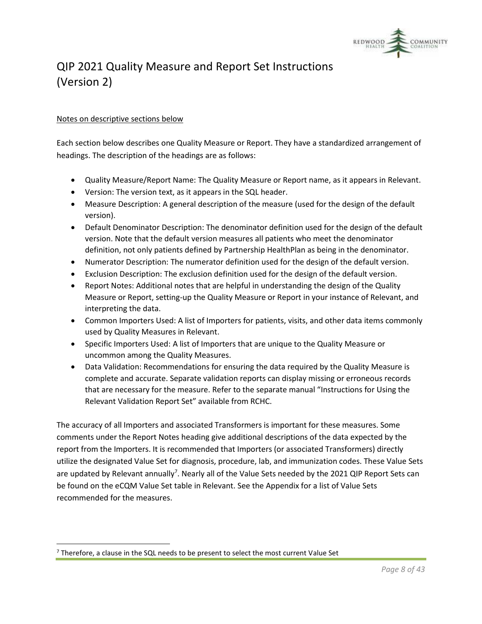

#### Notes on descriptive sections below

Each section below describes one Quality Measure or Report. They have a standardized arrangement of headings. The description of the headings are as follows:

- Quality Measure/Report Name: The Quality Measure or Report name, as it appears in Relevant.
- Version: The version text, as it appears in the SQL header.
- Measure Description: A general description of the measure (used for the design of the default version).
- Default Denominator Description: The denominator definition used for the design of the default version. Note that the default version measures all patients who meet the denominator definition, not only patients defined by Partnership HealthPlan as being in the denominator.
- Numerator Description: The numerator definition used for the design of the default version.
- Exclusion Description: The exclusion definition used for the design of the default version.
- Report Notes: Additional notes that are helpful in understanding the design of the Quality Measure or Report, setting-up the Quality Measure or Report in your instance of Relevant, and interpreting the data.
- Common Importers Used: A list of Importers for patients, visits, and other data items commonly used by Quality Measures in Relevant.
- Specific Importers Used: A list of Importers that are unique to the Quality Measure or uncommon among the Quality Measures.
- Data Validation: Recommendations for ensuring the data required by the Quality Measure is complete and accurate. Separate validation reports can display missing or erroneous records that are necessary for the measure. Refer to the separate manual "Instructions for Using the Relevant Validation Report Set" available from RCHC.

The accuracy of all Importers and associated Transformers is important for these measures. Some comments under the Report Notes heading give additional descriptions of the data expected by the report from the Importers. It is recommended that Importers (or associated Transformers) directly utilize the designated Value Set for diagnosis, procedure, lab, and immunization codes. These Value Sets are updated by Relevant annually<sup>7</sup>. Nearly all of the Value Sets needed by the 2021 QIP Report Sets can be found on the eCQM Value Set table in Relevant. See the Appendix for a list of Value Sets recommended for the measures.

 $<sup>7</sup>$  Therefore, a clause in the SQL needs to be present to select the most current Value Set</sup>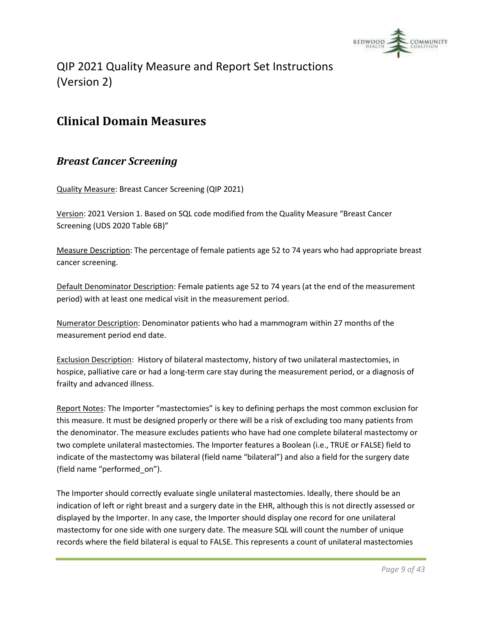

#### <span id="page-8-0"></span>**Clinical Domain Measures**

#### <span id="page-8-1"></span>*Breast Cancer Screening*

Quality Measure: Breast Cancer Screening (QIP 2021)

Version: 2021 Version 1. Based on SQL code modified from the Quality Measure "Breast Cancer Screening (UDS 2020 Table 6B)"

Measure Description: The percentage of female patients age 52 to 74 years who had appropriate breast cancer screening.

Default Denominator Description: Female patients age 52 to 74 years (at the end of the measurement period) with at least one medical visit in the measurement period.

Numerator Description: Denominator patients who had a mammogram within 27 months of the measurement period end date.

Exclusion Description: History of bilateral mastectomy, history of two unilateral mastectomies, in hospice, palliative care or had a long-term care stay during the measurement period, or a diagnosis of frailty and advanced illness.

Report Notes: The Importer "mastectomies" is key to defining perhaps the most common exclusion for this measure. It must be designed properly or there will be a risk of excluding too many patients from the denominator. The measure excludes patients who have had one complete bilateral mastectomy or two complete unilateral mastectomies. The Importer features a Boolean (i.e., TRUE or FALSE) field to indicate of the mastectomy was bilateral (field name "bilateral") and also a field for the surgery date (field name "performed\_on").

The Importer should correctly evaluate single unilateral mastectomies. Ideally, there should be an indication of left or right breast and a surgery date in the EHR, although this is not directly assessed or displayed by the Importer. In any case, the Importer should display one record for one unilateral mastectomy for one side with one surgery date. The measure SQL will count the number of unique records where the field bilateral is equal to FALSE. This represents a count of unilateral mastectomies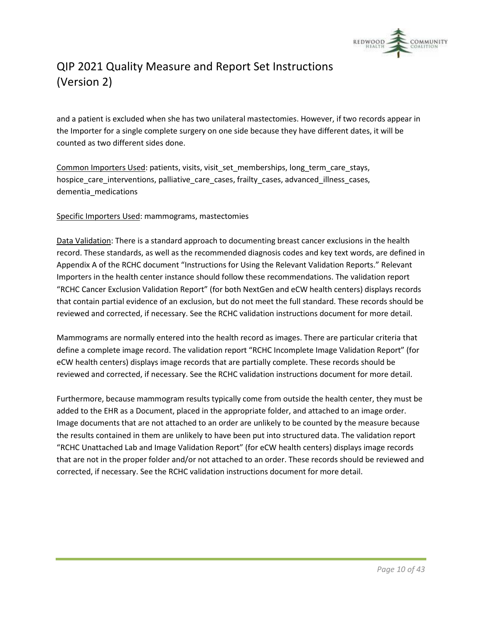

and a patient is excluded when she has two unilateral mastectomies. However, if two records appear in the Importer for a single complete surgery on one side because they have different dates, it will be counted as two different sides done.

Common Importers Used: patients, visits, visit set memberships, long term care stays, hospice\_care\_interventions, palliative\_care\_cases, frailty\_cases, advanced\_illness\_cases, dementia\_medications

Specific Importers Used: mammograms, mastectomies

Data Validation: There is a standard approach to documenting breast cancer exclusions in the health record. These standards, as well as the recommended diagnosis codes and key text words, are defined in Appendix A of the RCHC document "Instructions for Using the Relevant Validation Reports." Relevant Importers in the health center instance should follow these recommendations. The validation report "RCHC Cancer Exclusion Validation Report" (for both NextGen and eCW health centers) displays records that contain partial evidence of an exclusion, but do not meet the full standard. These records should be reviewed and corrected, if necessary. See the RCHC validation instructions document for more detail.

Mammograms are normally entered into the health record as images. There are particular criteria that define a complete image record. The validation report "RCHC Incomplete Image Validation Report" (for eCW health centers) displays image records that are partially complete. These records should be reviewed and corrected, if necessary. See the RCHC validation instructions document for more detail.

Furthermore, because mammogram results typically come from outside the health center, they must be added to the EHR as a Document, placed in the appropriate folder, and attached to an image order. Image documents that are not attached to an order are unlikely to be counted by the measure because the results contained in them are unlikely to have been put into structured data. The validation report "RCHC Unattached Lab and Image Validation Report" (for eCW health centers) displays image records that are not in the proper folder and/or not attached to an order. These records should be reviewed and corrected, if necessary. See the RCHC validation instructions document for more detail.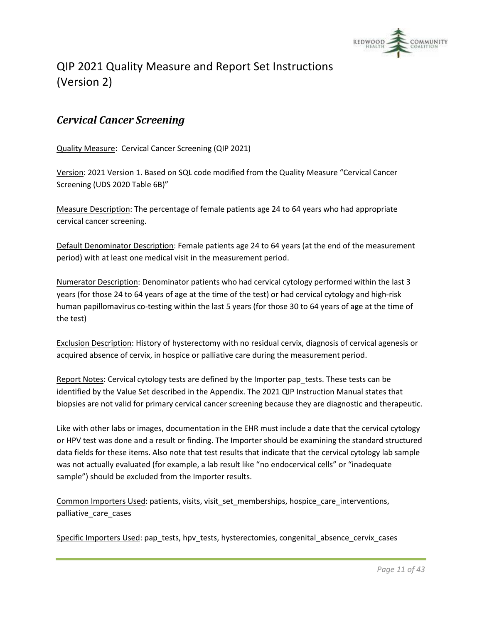

#### <span id="page-10-0"></span>*Cervical Cancer Screening*

Quality Measure: Cervical Cancer Screening (QIP 2021)

Version: 2021 Version 1. Based on SQL code modified from the Quality Measure "Cervical Cancer Screening (UDS 2020 Table 6B)"

Measure Description: The percentage of female patients age 24 to 64 years who had appropriate cervical cancer screening.

Default Denominator Description: Female patients age 24 to 64 years (at the end of the measurement period) with at least one medical visit in the measurement period.

Numerator Description: Denominator patients who had cervical cytology performed within the last 3 years (for those 24 to 64 years of age at the time of the test) or had cervical cytology and high-risk human papillomavirus co-testing within the last 5 years (for those 30 to 64 years of age at the time of the test)

Exclusion Description: History of hysterectomy with no residual cervix, diagnosis of cervical agenesis or acquired absence of cervix, in hospice or palliative care during the measurement period.

Report Notes: Cervical cytology tests are defined by the Importer pap\_tests. These tests can be identified by the Value Set described in the Appendix. The 2021 QIP Instruction Manual states that biopsies are not valid for primary cervical cancer screening because they are diagnostic and therapeutic.

Like with other labs or images, documentation in the EHR must include a date that the cervical cytology or HPV test was done and a result or finding. The Importer should be examining the standard structured data fields for these items. Also note that test results that indicate that the cervical cytology lab sample was not actually evaluated (for example, a lab result like "no endocervical cells" or "inadequate sample") should be excluded from the Importer results.

Common Importers Used: patients, visits, visit\_set\_memberships, hospice\_care\_interventions, palliative\_care\_cases

Specific Importers Used: pap\_tests, hpv\_tests, hysterectomies, congenital\_absence\_cervix\_cases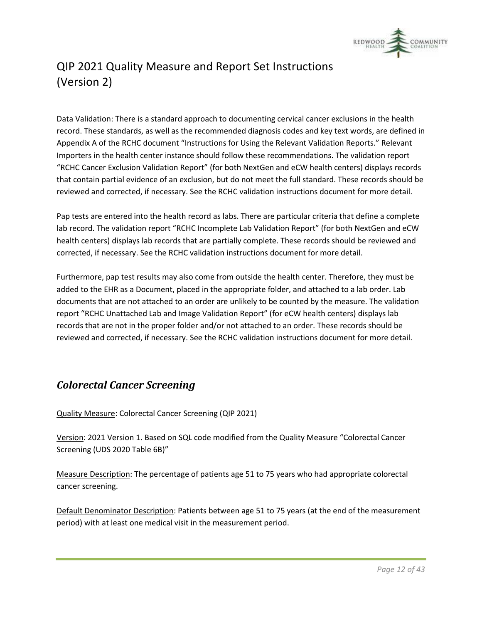

Data Validation: There is a standard approach to documenting cervical cancer exclusions in the health record. These standards, as well as the recommended diagnosis codes and key text words, are defined in Appendix A of the RCHC document "Instructions for Using the Relevant Validation Reports." Relevant Importers in the health center instance should follow these recommendations. The validation report "RCHC Cancer Exclusion Validation Report" (for both NextGen and eCW health centers) displays records that contain partial evidence of an exclusion, but do not meet the full standard. These records should be reviewed and corrected, if necessary. See the RCHC validation instructions document for more detail.

Pap tests are entered into the health record as labs. There are particular criteria that define a complete lab record. The validation report "RCHC Incomplete Lab Validation Report" (for both NextGen and eCW health centers) displays lab records that are partially complete. These records should be reviewed and corrected, if necessary. See the RCHC validation instructions document for more detail.

Furthermore, pap test results may also come from outside the health center. Therefore, they must be added to the EHR as a Document, placed in the appropriate folder, and attached to a lab order. Lab documents that are not attached to an order are unlikely to be counted by the measure. The validation report "RCHC Unattached Lab and Image Validation Report" (for eCW health centers) displays lab records that are not in the proper folder and/or not attached to an order. These records should be reviewed and corrected, if necessary. See the RCHC validation instructions document for more detail.

#### <span id="page-11-0"></span>*Colorectal Cancer Screening*

Quality Measure: Colorectal Cancer Screening (QIP 2021)

Version: 2021 Version 1. Based on SQL code modified from the Quality Measure "Colorectal Cancer Screening (UDS 2020 Table 6B)"

Measure Description: The percentage of patients age 51 to 75 years who had appropriate colorectal cancer screening.

Default Denominator Description: Patients between age 51 to 75 years (at the end of the measurement period) with at least one medical visit in the measurement period.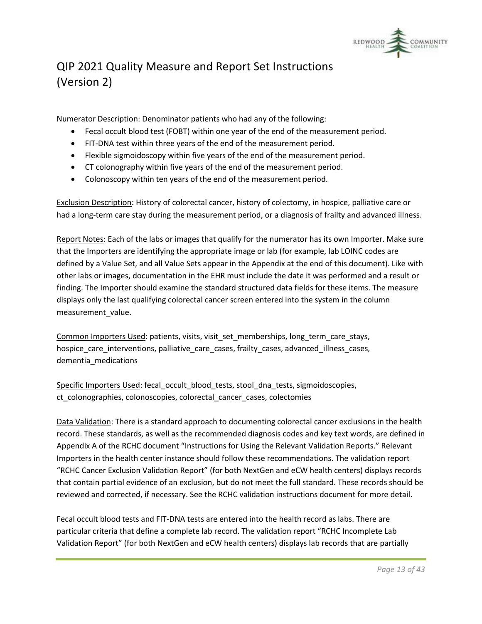

Numerator Description: Denominator patients who had any of the following:

- Fecal occult blood test (FOBT) within one year of the end of the measurement period.
- FIT-DNA test within three years of the end of the measurement period.
- Flexible sigmoidoscopy within five years of the end of the measurement period.
- CT colonography within five years of the end of the measurement period.
- Colonoscopy within ten years of the end of the measurement period.

Exclusion Description: History of colorectal cancer, history of colectomy, in hospice, palliative care or had a long-term care stay during the measurement period, or a diagnosis of frailty and advanced illness.

Report Notes: Each of the labs or images that qualify for the numerator has its own Importer. Make sure that the Importers are identifying the appropriate image or lab (for example, lab LOINC codes are defined by a Value Set, and all Value Sets appear in the Appendix at the end of this document). Like with other labs or images, documentation in the EHR must include the date it was performed and a result or finding. The Importer should examine the standard structured data fields for these items. The measure displays only the last qualifying colorectal cancer screen entered into the system in the column measurement\_value.

Common Importers Used: patients, visits, visit\_set\_memberships, long\_term\_care\_stays, hospice\_care\_interventions, palliative\_care\_cases, frailty\_cases, advanced\_illness\_cases, dementia\_medications

Specific Importers Used: fecal\_occult\_blood\_tests, stool\_dna\_tests, sigmoidoscopies, ct\_colonographies, colonoscopies, colorectal\_cancer\_cases, colectomies

Data Validation: There is a standard approach to documenting colorectal cancer exclusions in the health record. These standards, as well as the recommended diagnosis codes and key text words, are defined in Appendix A of the RCHC document "Instructions for Using the Relevant Validation Reports." Relevant Importers in the health center instance should follow these recommendations. The validation report "RCHC Cancer Exclusion Validation Report" (for both NextGen and eCW health centers) displays records that contain partial evidence of an exclusion, but do not meet the full standard. These records should be reviewed and corrected, if necessary. See the RCHC validation instructions document for more detail.

Fecal occult blood tests and FIT-DNA tests are entered into the health record as labs. There are particular criteria that define a complete lab record. The validation report "RCHC Incomplete Lab Validation Report" (for both NextGen and eCW health centers) displays lab records that are partially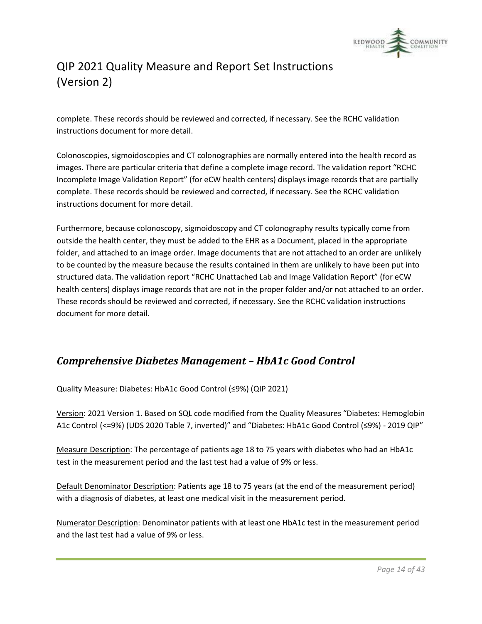

complete. These records should be reviewed and corrected, if necessary. See the RCHC validation instructions document for more detail.

Colonoscopies, sigmoidoscopies and CT colonographies are normally entered into the health record as images. There are particular criteria that define a complete image record. The validation report "RCHC Incomplete Image Validation Report" (for eCW health centers) displays image records that are partially complete. These records should be reviewed and corrected, if necessary. See the RCHC validation instructions document for more detail.

Furthermore, because colonoscopy, sigmoidoscopy and CT colonography results typically come from outside the health center, they must be added to the EHR as a Document, placed in the appropriate folder, and attached to an image order. Image documents that are not attached to an order are unlikely to be counted by the measure because the results contained in them are unlikely to have been put into structured data. The validation report "RCHC Unattached Lab and Image Validation Report" (for eCW health centers) displays image records that are not in the proper folder and/or not attached to an order. These records should be reviewed and corrected, if necessary. See the RCHC validation instructions document for more detail.

#### <span id="page-13-0"></span>*Comprehensive Diabetes Management – HbA1c Good Control*

Quality Measure: Diabetes: HbA1c Good Control (≤9%) (QIP 2021)

Version: 2021 Version 1. Based on SQL code modified from the Quality Measures "Diabetes: Hemoglobin A1c Control (<=9%) (UDS 2020 Table 7, inverted)" and "Diabetes: HbA1c Good Control (≤9%) - 2019 QIP"

Measure Description: The percentage of patients age 18 to 75 years with diabetes who had an HbA1c test in the measurement period and the last test had a value of 9% or less.

Default Denominator Description: Patients age 18 to 75 years (at the end of the measurement period) with a diagnosis of diabetes, at least one medical visit in the measurement period.

Numerator Description: Denominator patients with at least one HbA1c test in the measurement period and the last test had a value of 9% or less.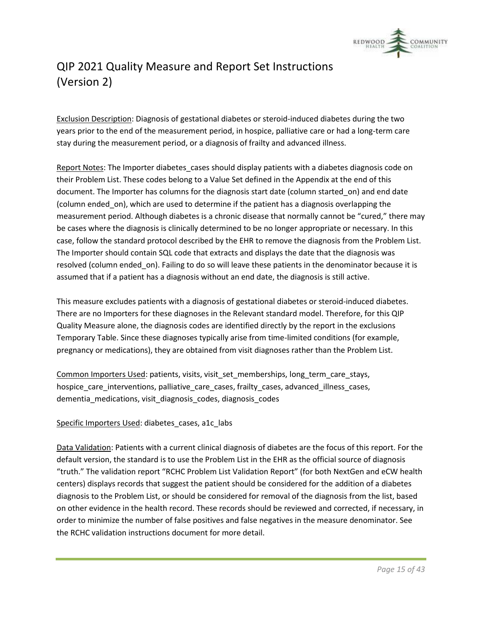

Exclusion Description: Diagnosis of gestational diabetes or steroid-induced diabetes during the two years prior to the end of the measurement period, in hospice, palliative care or had a long-term care stay during the measurement period, or a diagnosis of frailty and advanced illness.

Report Notes: The Importer diabetes cases should display patients with a diabetes diagnosis code on their Problem List. These codes belong to a Value Set defined in the Appendix at the end of this document. The Importer has columns for the diagnosis start date (column started on) and end date (column ended\_on), which are used to determine if the patient has a diagnosis overlapping the measurement period. Although diabetes is a chronic disease that normally cannot be "cured," there may be cases where the diagnosis is clinically determined to be no longer appropriate or necessary. In this case, follow the standard protocol described by the EHR to remove the diagnosis from the Problem List. The Importer should contain SQL code that extracts and displays the date that the diagnosis was resolved (column ended\_on). Failing to do so will leave these patients in the denominator because it is assumed that if a patient has a diagnosis without an end date, the diagnosis is still active.

This measure excludes patients with a diagnosis of gestational diabetes or steroid-induced diabetes. There are no Importers for these diagnoses in the Relevant standard model. Therefore, for this QIP Quality Measure alone, the diagnosis codes are identified directly by the report in the exclusions Temporary Table. Since these diagnoses typically arise from time-limited conditions (for example, pregnancy or medications), they are obtained from visit diagnoses rather than the Problem List.

Common Importers Used: patients, visits, visit set memberships, long term care stays, hospice care interventions, palliative care cases, frailty cases, advanced illness cases, dementia\_medications, visit\_diagnosis\_codes, diagnosis\_codes

#### Specific Importers Used: diabetes\_cases, a1c\_labs

Data Validation: Patients with a current clinical diagnosis of diabetes are the focus of this report. For the default version, the standard is to use the Problem List in the EHR as the official source of diagnosis "truth." The validation report "RCHC Problem List Validation Report" (for both NextGen and eCW health centers) displays records that suggest the patient should be considered for the addition of a diabetes diagnosis to the Problem List, or should be considered for removal of the diagnosis from the list, based on other evidence in the health record. These records should be reviewed and corrected, if necessary, in order to minimize the number of false positives and false negatives in the measure denominator. See the RCHC validation instructions document for more detail.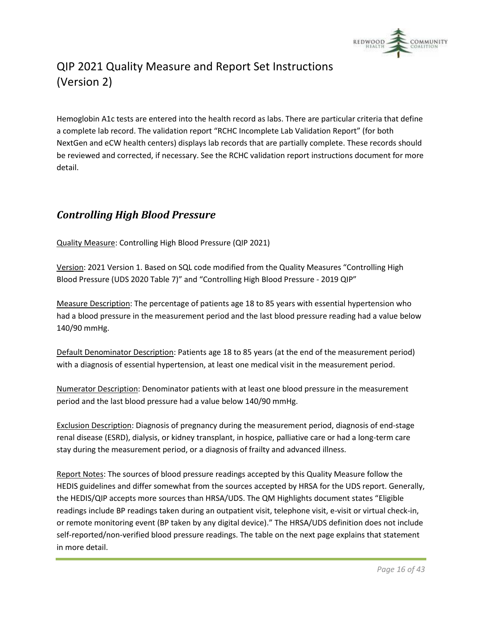

Hemoglobin A1c tests are entered into the health record as labs. There are particular criteria that define a complete lab record. The validation report "RCHC Incomplete Lab Validation Report" (for both NextGen and eCW health centers) displays lab records that are partially complete. These records should be reviewed and corrected, if necessary. See the RCHC validation report instructions document for more detail.

#### <span id="page-15-0"></span>*Controlling High Blood Pressure*

Quality Measure: Controlling High Blood Pressure (QIP 2021)

Version: 2021 Version 1. Based on SQL code modified from the Quality Measures "Controlling High Blood Pressure (UDS 2020 Table 7)" and "Controlling High Blood Pressure - 2019 QIP"

Measure Description: The percentage of patients age 18 to 85 years with essential hypertension who had a blood pressure in the measurement period and the last blood pressure reading had a value below 140/90 mmHg.

Default Denominator Description: Patients age 18 to 85 years (at the end of the measurement period) with a diagnosis of essential hypertension, at least one medical visit in the measurement period.

Numerator Description: Denominator patients with at least one blood pressure in the measurement period and the last blood pressure had a value below 140/90 mmHg.

Exclusion Description: Diagnosis of pregnancy during the measurement period, diagnosis of end-stage renal disease (ESRD), dialysis, or kidney transplant, in hospice, palliative care or had a long-term care stay during the measurement period, or a diagnosis of frailty and advanced illness.

Report Notes: The sources of blood pressure readings accepted by this Quality Measure follow the HEDIS guidelines and differ somewhat from the sources accepted by HRSA for the UDS report. Generally, the HEDIS/QIP accepts more sources than HRSA/UDS. The QM Highlights document states "Eligible readings include BP readings taken during an outpatient visit, telephone visit, e-visit or virtual check-in, or remote monitoring event (BP taken by any digital device)." The HRSA/UDS definition does not include self-reported/non-verified blood pressure readings. The table on the next page explains that statement in more detail.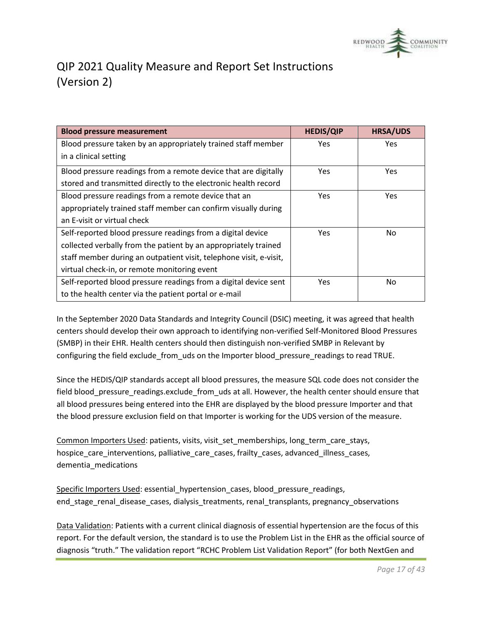

| <b>Blood pressure measurement</b>                                  | <b>HEDIS/QIP</b> | <b>HRSA/UDS</b> |
|--------------------------------------------------------------------|------------------|-----------------|
| Blood pressure taken by an appropriately trained staff member      | Yes              | Yes             |
| in a clinical setting                                              |                  |                 |
| Blood pressure readings from a remote device that are digitally    | Yes              | Yes.            |
| stored and transmitted directly to the electronic health record    |                  |                 |
| Blood pressure readings from a remote device that an               | Yes              | Yes             |
| appropriately trained staff member can confirm visually during     |                  |                 |
| an E-visit or virtual check                                        |                  |                 |
| Self-reported blood pressure readings from a digital device        | Yes              | No              |
| collected verbally from the patient by an appropriately trained    |                  |                 |
| staff member during an outpatient visit, telephone visit, e-visit, |                  |                 |
| virtual check-in, or remote monitoring event                       |                  |                 |
| Self-reported blood pressure readings from a digital device sent   | Yes              | No              |
| to the health center via the patient portal or e-mail              |                  |                 |

In the September 2020 Data Standards and Integrity Council (DSIC) meeting, it was agreed that health centers should develop their own approach to identifying non-verified Self-Monitored Blood Pressures (SMBP) in their EHR. Health centers should then distinguish non-verified SMBP in Relevant by configuring the field exclude\_from\_uds on the Importer blood\_pressure\_readings to read TRUE.

Since the HEDIS/QIP standards accept all blood pressures, the measure SQL code does not consider the field blood\_pressure\_readings.exclude\_from\_uds at all. However, the health center should ensure that all blood pressures being entered into the EHR are displayed by the blood pressure Importer and that the blood pressure exclusion field on that Importer is working for the UDS version of the measure.

Common Importers Used: patients, visits, visit set memberships, long term care stays, hospice\_care\_interventions, palliative\_care\_cases, frailty\_cases, advanced\_illness\_cases, dementia\_medications

Specific Importers Used: essential\_hypertension\_cases, blood\_pressure\_readings, end\_stage\_renal\_disease\_cases, dialysis\_treatments, renal\_transplants, pregnancy\_observations

Data Validation: Patients with a current clinical diagnosis of essential hypertension are the focus of this report. For the default version, the standard is to use the Problem List in the EHR as the official source of diagnosis "truth." The validation report "RCHC Problem List Validation Report" (for both NextGen and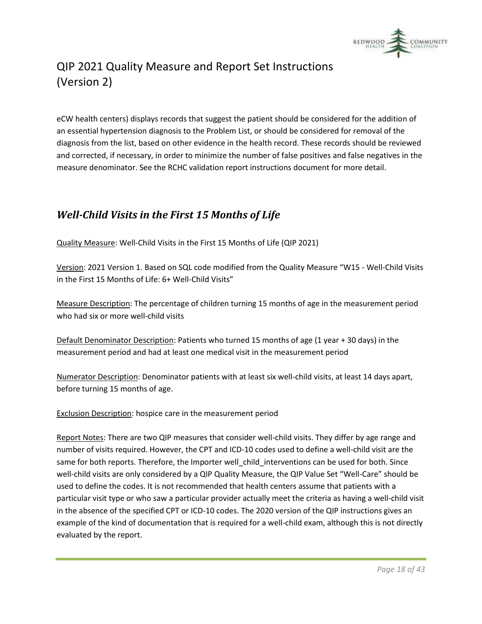

eCW health centers) displays records that suggest the patient should be considered for the addition of an essential hypertension diagnosis to the Problem List, or should be considered for removal of the diagnosis from the list, based on other evidence in the health record. These records should be reviewed and corrected, if necessary, in order to minimize the number of false positives and false negatives in the measure denominator. See the RCHC validation report instructions document for more detail.

#### <span id="page-17-0"></span>*Well-Child Visits in the First 15 Months of Life*

Quality Measure: Well-Child Visits in the First 15 Months of Life (QIP 2021)

Version: 2021 Version 1. Based on SQL code modified from the Quality Measure "W15 - Well-Child Visits in the First 15 Months of Life: 6+ Well-Child Visits"

Measure Description: The percentage of children turning 15 months of age in the measurement period who had six or more well-child visits

Default Denominator Description: Patients who turned 15 months of age (1 year + 30 days) in the measurement period and had at least one medical visit in the measurement period

Numerator Description: Denominator patients with at least six well-child visits, at least 14 days apart, before turning 15 months of age.

Exclusion Description: hospice care in the measurement period

Report Notes: There are two QIP measures that consider well-child visits. They differ by age range and number of visits required. However, the CPT and ICD-10 codes used to define a well-child visit are the same for both reports. Therefore, the Importer well child interventions can be used for both. Since well-child visits are only considered by a QIP Quality Measure, the QIP Value Set "Well-Care" should be used to define the codes. It is not recommended that health centers assume that patients with a particular visit type or who saw a particular provider actually meet the criteria as having a well-child visit in the absence of the specified CPT or ICD-10 codes. The 2020 version of the QIP instructions gives an example of the kind of documentation that is required for a well-child exam, although this is not directly evaluated by the report.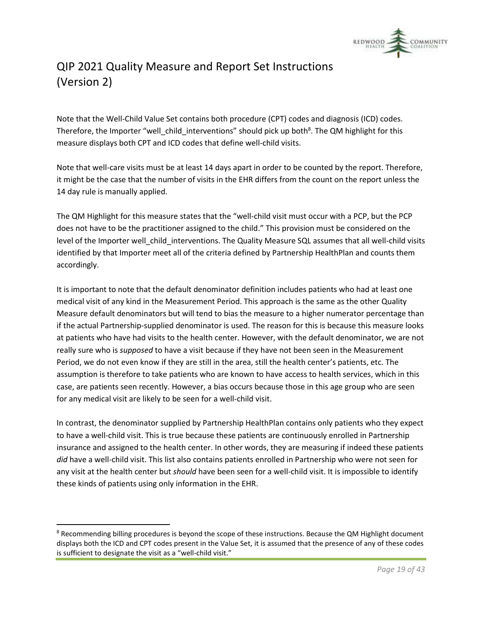

Note that the Well-Child Value Set contains both procedure (CPT) codes and diagnosis (ICD) codes. Therefore, the Importer "well\_child\_interventions" should pick up both<sup>8</sup>. The QM highlight for this measure displays both CPT and ICD codes that define well-child visits.

Note that well-care visits must be at least 14 days apart in order to be counted by the report. Therefore, it might be the case that the number of visits in the EHR differs from the count on the report unless the 14 day rule is manually applied.

The QM Highlight for this measure states that the "well-child visit must occur with a PCP, but the PCP does not have to be the practitioner assigned to the child." This provision must be considered on the level of the Importer well\_child\_interventions. The Quality Measure SQL assumes that all well-child visits identified by that Importer meet all of the criteria defined by Partnership HealthPlan and counts them accordingly.

It is important to note that the default denominator definition includes patients who had at least one medical visit of any kind in the Measurement Period. This approach is the same as the other Quality Measure default denominators but will tend to bias the measure to a higher numerator percentage than if the actual Partnership-supplied denominator is used. The reason for this is because this measure looks at patients who have had visits to the health center. However, with the default denominator, we are not really sure who is *supposed* to have a visit because if they have not been seen in the Measurement Period, we do not even know if they are still in the area, still the health center's patients, etc. The assumption is therefore to take patients who are known to have access to health services, which in this case, are patients seen recently. However, a bias occurs because those in this age group who are seen for any medical visit are likely to be seen for a well-child visit.

In contrast, the denominator supplied by Partnership HealthPlan contains only patients who they expect to have a well-child visit. This is true because these patients are continuously enrolled in Partnership insurance and assigned to the health center. In other words, they are measuring if indeed these patients *did* have a well-child visit. This list also contains patients enrolled in Partnership who were not seen for any visit at the health center but *should* have been seen for a well-child visit. It is impossible to identify these kinds of patients using only information in the EHR.

<sup>&</sup>lt;sup>8</sup> Recommending billing procedures is beyond the scope of these instructions. Because the QM Highlight document displays both the ICD and CPT codes present in the Value Set, it is assumed that the presence of any of these codes is sufficient to designate the visit as a "well-child visit."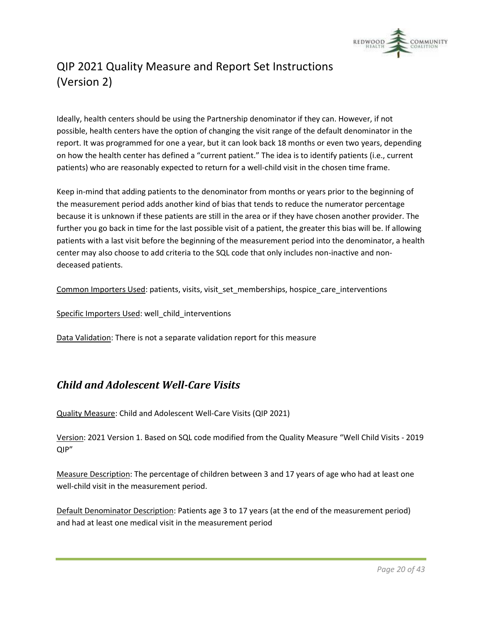

Ideally, health centers should be using the Partnership denominator if they can. However, if not possible, health centers have the option of changing the visit range of the default denominator in the report. It was programmed for one a year, but it can look back 18 months or even two years, depending on how the health center has defined a "current patient." The idea is to identify patients (i.e., current patients) who are reasonably expected to return for a well-child visit in the chosen time frame.

Keep in-mind that adding patients to the denominator from months or years prior to the beginning of the measurement period adds another kind of bias that tends to reduce the numerator percentage because it is unknown if these patients are still in the area or if they have chosen another provider. The further you go back in time for the last possible visit of a patient, the greater this bias will be. If allowing patients with a last visit before the beginning of the measurement period into the denominator, a health center may also choose to add criteria to the SQL code that only includes non-inactive and nondeceased patients.

Common Importers Used: patients, visits, visit\_set\_memberships, hospice\_care\_interventions

Specific Importers Used: well\_child\_interventions

Data Validation: There is not a separate validation report for this measure

#### <span id="page-19-0"></span>*Child and Adolescent Well-Care Visits*

Quality Measure: Child and Adolescent Well-Care Visits (QIP 2021)

Version: 2021 Version 1. Based on SQL code modified from the Quality Measure "Well Child Visits - 2019 QIP"

Measure Description: The percentage of children between 3 and 17 years of age who had at least one well-child visit in the measurement period.

Default Denominator Description: Patients age 3 to 17 years (at the end of the measurement period) and had at least one medical visit in the measurement period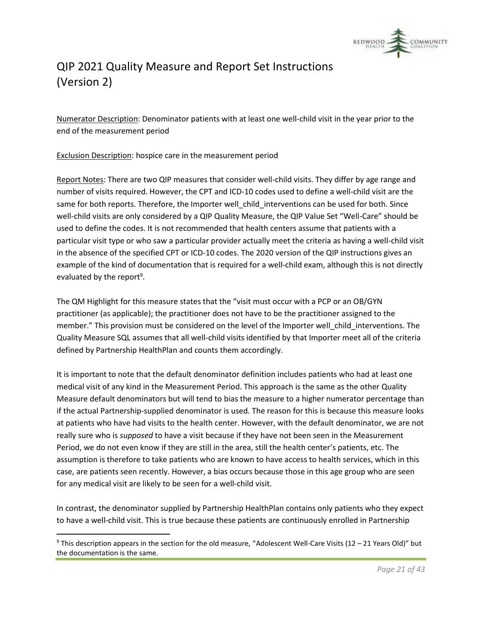

Numerator Description: Denominator patients with at least one well-child visit in the year prior to the end of the measurement period

Exclusion Description: hospice care in the measurement period

Report Notes: There are two QIP measures that consider well-child visits. They differ by age range and number of visits required. However, the CPT and ICD-10 codes used to define a well-child visit are the same for both reports. Therefore, the Importer well\_child\_interventions can be used for both. Since well-child visits are only considered by a QIP Quality Measure, the QIP Value Set "Well-Care" should be used to define the codes. It is not recommended that health centers assume that patients with a particular visit type or who saw a particular provider actually meet the criteria as having a well-child visit in the absence of the specified CPT or ICD-10 codes. The 2020 version of the QIP instructions gives an example of the kind of documentation that is required for a well-child exam, although this is not directly evaluated by the report<sup>9</sup>.

The QM Highlight for this measure states that the "visit must occur with a PCP or an OB/GYN practitioner (as applicable); the practitioner does not have to be the practitioner assigned to the member." This provision must be considered on the level of the Importer well\_child\_interventions. The Quality Measure SQL assumes that all well-child visits identified by that Importer meet all of the criteria defined by Partnership HealthPlan and counts them accordingly.

It is important to note that the default denominator definition includes patients who had at least one medical visit of any kind in the Measurement Period. This approach is the same as the other Quality Measure default denominators but will tend to bias the measure to a higher numerator percentage than if the actual Partnership-supplied denominator is used. The reason for this is because this measure looks at patients who have had visits to the health center. However, with the default denominator, we are not really sure who is *supposed* to have a visit because if they have not been seen in the Measurement Period, we do not even know if they are still in the area, still the health center's patients, etc. The assumption is therefore to take patients who are known to have access to health services, which in this case, are patients seen recently. However, a bias occurs because those in this age group who are seen for any medical visit are likely to be seen for a well-child visit.

In contrast, the denominator supplied by Partnership HealthPlan contains only patients who they expect to have a well-child visit. This is true because these patients are continuously enrolled in Partnership

<sup>9</sup> This description appears in the section for the old measure, "Adolescent Well-Care Visits (12 – 21 Years Old)" but the documentation is the same.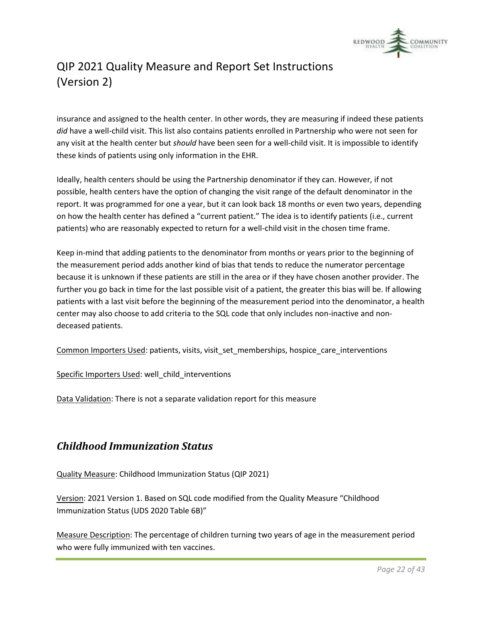

insurance and assigned to the health center. In other words, they are measuring if indeed these patients *did* have a well-child visit. This list also contains patients enrolled in Partnership who were not seen for any visit at the health center but *should* have been seen for a well-child visit. It is impossible to identify these kinds of patients using only information in the EHR.

Ideally, health centers should be using the Partnership denominator if they can. However, if not possible, health centers have the option of changing the visit range of the default denominator in the report. It was programmed for one a year, but it can look back 18 months or even two years, depending on how the health center has defined a "current patient." The idea is to identify patients (i.e., current patients) who are reasonably expected to return for a well-child visit in the chosen time frame.

Keep in-mind that adding patients to the denominator from months or years prior to the beginning of the measurement period adds another kind of bias that tends to reduce the numerator percentage because it is unknown if these patients are still in the area or if they have chosen another provider. The further you go back in time for the last possible visit of a patient, the greater this bias will be. If allowing patients with a last visit before the beginning of the measurement period into the denominator, a health center may also choose to add criteria to the SQL code that only includes non-inactive and nondeceased patients.

Common Importers Used: patients, visits, visit\_set\_memberships, hospice\_care\_interventions

Specific Importers Used: well\_child\_interventions

Data Validation: There is not a separate validation report for this measure

#### <span id="page-21-0"></span>*Childhood Immunization Status*

Quality Measure: Childhood Immunization Status (QIP 2021)

Version: 2021 Version 1. Based on SQL code modified from the Quality Measure "Childhood Immunization Status (UDS 2020 Table 6B)"

Measure Description: The percentage of children turning two years of age in the measurement period who were fully immunized with ten vaccines.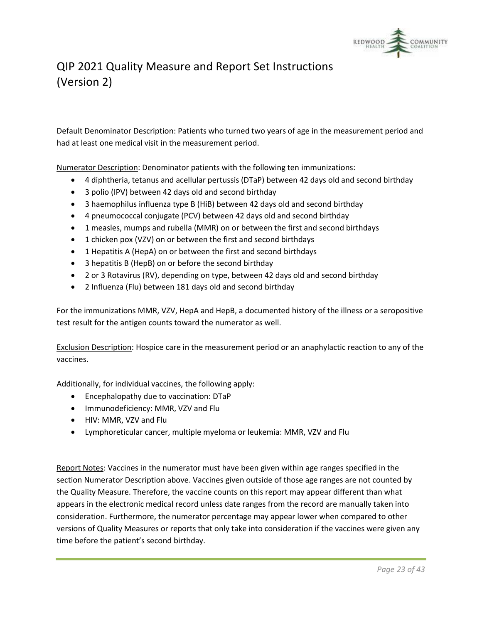

Default Denominator Description: Patients who turned two years of age in the measurement period and had at least one medical visit in the measurement period.

Numerator Description: Denominator patients with the following ten immunizations:

- 4 diphtheria, tetanus and acellular pertussis (DTaP) between 42 days old and second birthday
- 3 polio (IPV) between 42 days old and second birthday
- 3 haemophilus influenza type B (HiB) between 42 days old and second birthday
- 4 pneumococcal conjugate (PCV) between 42 days old and second birthday
- 1 measles, mumps and rubella (MMR) on or between the first and second birthdays
- 1 chicken pox (VZV) on or between the first and second birthdays
- 1 Hepatitis A (HepA) on or between the first and second birthdays
- 3 hepatitis B (HepB) on or before the second birthday
- 2 or 3 Rotavirus (RV), depending on type, between 42 days old and second birthday
- 2 Influenza (Flu) between 181 days old and second birthday

For the immunizations MMR, VZV, HepA and HepB, a documented history of the illness or a seropositive test result for the antigen counts toward the numerator as well.

Exclusion Description: Hospice care in the measurement period or an anaphylactic reaction to any of the vaccines.

Additionally, for individual vaccines, the following apply:

- Encephalopathy due to vaccination: DTaP
- Immunodeficiency: MMR, VZV and Flu
- HIV: MMR, VZV and Flu
- Lymphoreticular cancer, multiple myeloma or leukemia: MMR, VZV and Flu

Report Notes: Vaccines in the numerator must have been given within age ranges specified in the section Numerator Description above. Vaccines given outside of those age ranges are not counted by the Quality Measure. Therefore, the vaccine counts on this report may appear different than what appears in the electronic medical record unless date ranges from the record are manually taken into consideration. Furthermore, the numerator percentage may appear lower when compared to other versions of Quality Measures or reports that only take into consideration if the vaccines were given any time before the patient's second birthday.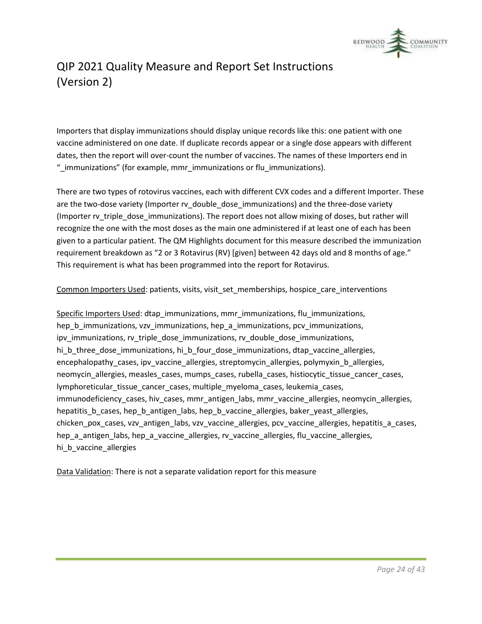

Importers that display immunizations should display unique records like this: one patient with one vaccine administered on one date. If duplicate records appear or a single dose appears with different dates, then the report will over-count the number of vaccines. The names of these Importers end in "\_immunizations" (for example, mmr\_immunizations or flu\_immunizations).

There are two types of rotovirus vaccines, each with different CVX codes and a different Importer. These are the two-dose variety (Importer rv\_double\_dose\_immunizations) and the three-dose variety (Importer rv\_triple\_dose\_immunizations). The report does not allow mixing of doses, but rather will recognize the one with the most doses as the main one administered if at least one of each has been given to a particular patient. The QM Highlights document for this measure described the immunization requirement breakdown as "2 or 3 Rotavirus (RV) [given] between 42 days old and 8 months of age." This requirement is what has been programmed into the report for Rotavirus.

Common Importers Used: patients, visits, visit set memberships, hospice care interventions

Specific Importers Used: dtap\_immunizations, mmr\_immunizations, flu\_immunizations, hep\_b\_immunizations, vzv\_immunizations, hep\_a\_immunizations, pcv\_immunizations, ipv\_immunizations, rv\_triple\_dose\_immunizations, rv\_double\_dose\_immunizations, hi\_b\_three\_dose\_immunizations, hi\_b\_four\_dose\_immunizations, dtap\_vaccine\_allergies, encephalopathy\_cases, ipv\_vaccine\_allergies, streptomycin\_allergies, polymyxin\_b\_allergies, neomycin\_allergies, measles\_cases, mumps\_cases, rubella\_cases, histiocytic\_tissue\_cancer\_cases, lymphoreticular\_tissue\_cancer\_cases, multiple\_myeloma\_cases, leukemia\_cases, immunodeficiency\_cases, hiv\_cases, mmr\_antigen\_labs, mmr\_vaccine\_allergies, neomycin\_allergies, hepatitis\_b\_cases, hep\_b\_antigen\_labs, hep\_b\_vaccine\_allergies, baker\_yeast\_allergies, chicken\_pox\_cases, vzv\_antigen\_labs, vzv\_vaccine\_allergies, pcv\_vaccine\_allergies, hepatitis\_a\_cases, hep a antigen labs, hep a vaccine allergies, rv vaccine allergies, flu vaccine allergies, hi\_b\_vaccine\_allergies

Data Validation: There is not a separate validation report for this measure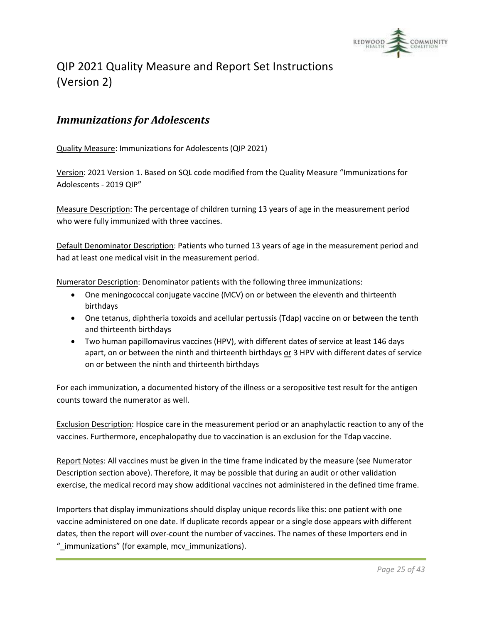

#### <span id="page-24-0"></span>*Immunizations for Adolescents*

Quality Measure: Immunizations for Adolescents (QIP 2021)

Version: 2021 Version 1. Based on SQL code modified from the Quality Measure "Immunizations for Adolescents - 2019 QIP"

Measure Description: The percentage of children turning 13 years of age in the measurement period who were fully immunized with three vaccines.

Default Denominator Description: Patients who turned 13 years of age in the measurement period and had at least one medical visit in the measurement period.

Numerator Description: Denominator patients with the following three immunizations:

- One meningococcal conjugate vaccine (MCV) on or between the eleventh and thirteenth birthdays
- One tetanus, diphtheria toxoids and acellular pertussis (Tdap) vaccine on or between the tenth and thirteenth birthdays
- Two human papillomavirus vaccines (HPV), with different dates of service at least 146 days apart, on or between the ninth and thirteenth birthdays or 3 HPV with different dates of service on or between the ninth and thirteenth birthdays

For each immunization, a documented history of the illness or a seropositive test result for the antigen counts toward the numerator as well.

Exclusion Description: Hospice care in the measurement period or an anaphylactic reaction to any of the vaccines. Furthermore, encephalopathy due to vaccination is an exclusion for the Tdap vaccine.

Report Notes: All vaccines must be given in the time frame indicated by the measure (see Numerator Description section above). Therefore, it may be possible that during an audit or other validation exercise, the medical record may show additional vaccines not administered in the defined time frame.

Importers that display immunizations should display unique records like this: one patient with one vaccine administered on one date. If duplicate records appear or a single dose appears with different dates, then the report will over-count the number of vaccines. The names of these Importers end in "\_immunizations" (for example, mcv\_immunizations).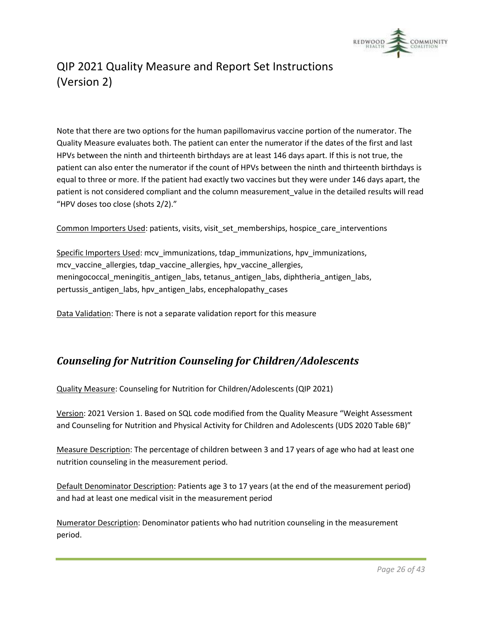

Note that there are two options for the human papillomavirus vaccine portion of the numerator. The Quality Measure evaluates both. The patient can enter the numerator if the dates of the first and last HPVs between the ninth and thirteenth birthdays are at least 146 days apart. If this is not true, the patient can also enter the numerator if the count of HPVs between the ninth and thirteenth birthdays is equal to three or more. If the patient had exactly two vaccines but they were under 146 days apart, the patient is not considered compliant and the column measurement\_value in the detailed results will read "HPV doses too close (shots 2/2)."

Common Importers Used: patients, visits, visit set memberships, hospice care interventions

Specific Importers Used: mcv\_immunizations, tdap\_immunizations, hpv\_immunizations, mcv\_vaccine\_allergies, tdap\_vaccine\_allergies, hpv\_vaccine\_allergies, meningococcal\_meningitis\_antigen\_labs, tetanus\_antigen\_labs, diphtheria\_antigen\_labs, pertussis antigen labs, hpv antigen labs, encephalopathy cases

Data Validation: There is not a separate validation report for this measure

#### <span id="page-25-0"></span>*Counseling for Nutrition Counseling for Children/Adolescents*

Quality Measure: Counseling for Nutrition for Children/Adolescents (QIP 2021)

Version: 2021 Version 1. Based on SQL code modified from the Quality Measure "Weight Assessment and Counseling for Nutrition and Physical Activity for Children and Adolescents (UDS 2020 Table 6B)"

Measure Description: The percentage of children between 3 and 17 years of age who had at least one nutrition counseling in the measurement period.

Default Denominator Description: Patients age 3 to 17 years (at the end of the measurement period) and had at least one medical visit in the measurement period

Numerator Description: Denominator patients who had nutrition counseling in the measurement period.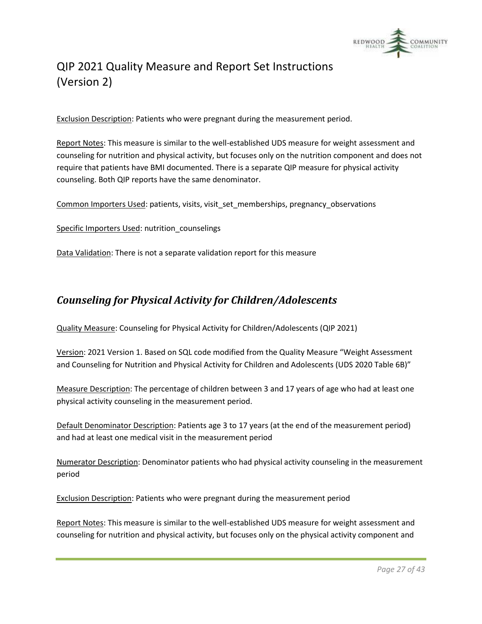

Exclusion Description: Patients who were pregnant during the measurement period.

Report Notes: This measure is similar to the well-established UDS measure for weight assessment and counseling for nutrition and physical activity, but focuses only on the nutrition component and does not require that patients have BMI documented. There is a separate QIP measure for physical activity counseling. Both QIP reports have the same denominator.

Common Importers Used: patients, visits, visit\_set\_memberships, pregnancy\_observations

Specific Importers Used: nutrition\_counselings

Data Validation: There is not a separate validation report for this measure

#### <span id="page-26-0"></span>*Counseling for Physical Activity for Children/Adolescents*

Quality Measure: Counseling for Physical Activity for Children/Adolescents (QIP 2021)

Version: 2021 Version 1. Based on SQL code modified from the Quality Measure "Weight Assessment and Counseling for Nutrition and Physical Activity for Children and Adolescents (UDS 2020 Table 6B)"

Measure Description: The percentage of children between 3 and 17 years of age who had at least one physical activity counseling in the measurement period.

Default Denominator Description: Patients age 3 to 17 years (at the end of the measurement period) and had at least one medical visit in the measurement period

Numerator Description: Denominator patients who had physical activity counseling in the measurement period

Exclusion Description: Patients who were pregnant during the measurement period

Report Notes: This measure is similar to the well-established UDS measure for weight assessment and counseling for nutrition and physical activity, but focuses only on the physical activity component and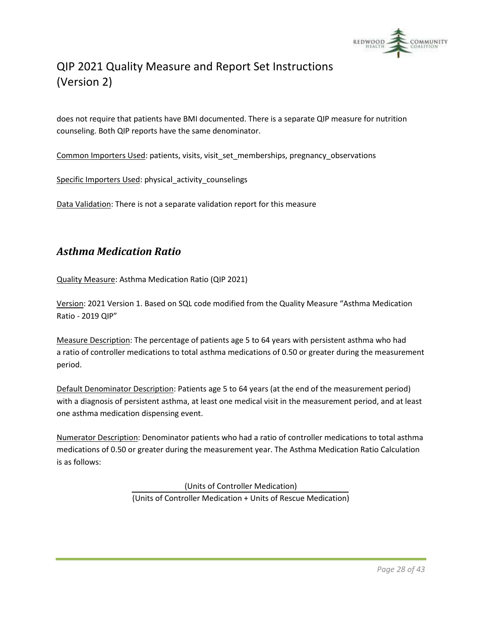

does not require that patients have BMI documented. There is a separate QIP measure for nutrition counseling. Both QIP reports have the same denominator.

Common Importers Used: patients, visits, visit\_set\_memberships, pregnancy\_observations

Specific Importers Used: physical\_activity\_counselings

Data Validation: There is not a separate validation report for this measure

#### <span id="page-27-0"></span>*Asthma Medication Ratio*

Quality Measure: Asthma Medication Ratio (QIP 2021)

Version: 2021 Version 1. Based on SQL code modified from the Quality Measure "Asthma Medication Ratio - 2019 QIP"

Measure Description: The percentage of patients age 5 to 64 years with persistent asthma who had a ratio of controller medications to total asthma medications of 0.50 or greater during the measurement period.

Default Denominator Description: Patients age 5 to 64 years (at the end of the measurement period) with a diagnosis of persistent asthma, at least one medical visit in the measurement period, and at least one asthma medication dispensing event.

Numerator Description: Denominator patients who had a ratio of controller medications to total asthma medications of 0.50 or greater during the measurement year. The Asthma Medication Ratio Calculation is as follows:

> (Units of Controller Medication) (Units of Controller Medication + Units of Rescue Medication)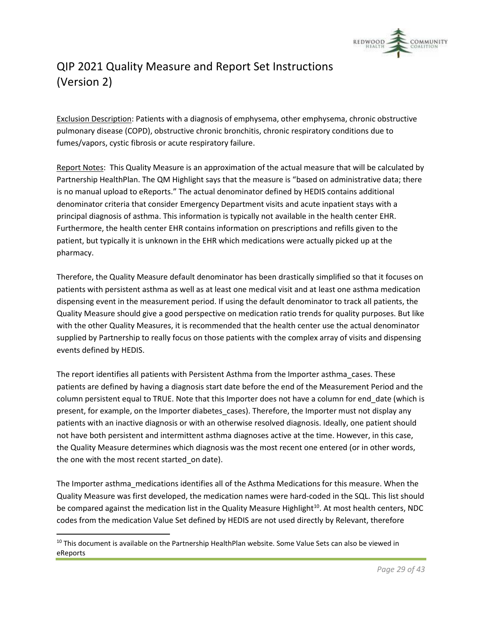

Exclusion Description: Patients with a diagnosis of emphysema, other emphysema, chronic obstructive pulmonary disease (COPD), obstructive chronic bronchitis, chronic respiratory conditions due to fumes/vapors, cystic fibrosis or acute respiratory failure.

Report Notes: This Quality Measure is an approximation of the actual measure that will be calculated by Partnership HealthPlan. The QM Highlight says that the measure is "based on administrative data; there is no manual upload to eReports." The actual denominator defined by HEDIS contains additional denominator criteria that consider Emergency Department visits and acute inpatient stays with a principal diagnosis of asthma. This information is typically not available in the health center EHR. Furthermore, the health center EHR contains information on prescriptions and refills given to the patient, but typically it is unknown in the EHR which medications were actually picked up at the pharmacy.

Therefore, the Quality Measure default denominator has been drastically simplified so that it focuses on patients with persistent asthma as well as at least one medical visit and at least one asthma medication dispensing event in the measurement period. If using the default denominator to track all patients, the Quality Measure should give a good perspective on medication ratio trends for quality purposes. But like with the other Quality Measures, it is recommended that the health center use the actual denominator supplied by Partnership to really focus on those patients with the complex array of visits and dispensing events defined by HEDIS.

The report identifies all patients with Persistent Asthma from the Importer asthma\_cases. These patients are defined by having a diagnosis start date before the end of the Measurement Period and the column persistent equal to TRUE. Note that this Importer does not have a column for end\_date (which is present, for example, on the Importer diabetes\_cases). Therefore, the Importer must not display any patients with an inactive diagnosis or with an otherwise resolved diagnosis. Ideally, one patient should not have both persistent and intermittent asthma diagnoses active at the time. However, in this case, the Quality Measure determines which diagnosis was the most recent one entered (or in other words, the one with the most recent started on date).

The Importer asthma\_medications identifies all of the Asthma Medications for this measure. When the Quality Measure was first developed, the medication names were hard-coded in the SQL. This list should be compared against the medication list in the Quality Measure Highlight<sup>10</sup>. At most health centers, NDC codes from the medication Value Set defined by HEDIS are not used directly by Relevant, therefore

 $10$  This document is available on the Partnership HealthPlan website. Some Value Sets can also be viewed in eReports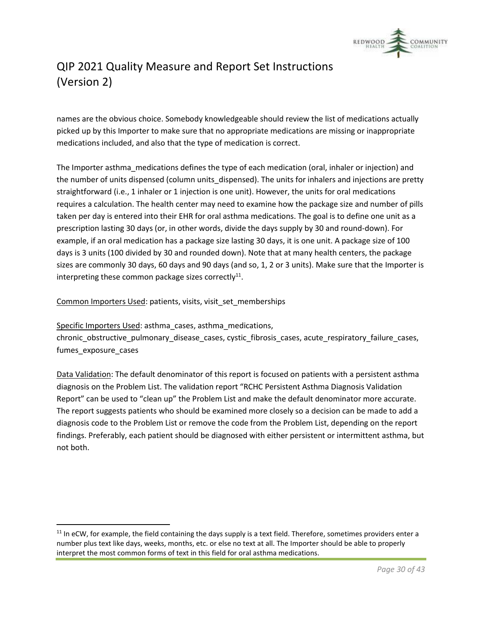

names are the obvious choice. Somebody knowledgeable should review the list of medications actually picked up by this Importer to make sure that no appropriate medications are missing or inappropriate medications included, and also that the type of medication is correct.

The Importer asthma medications defines the type of each medication (oral, inhaler or injection) and the number of units dispensed (column units dispensed). The units for inhalers and injections are pretty straightforward (i.e., 1 inhaler or 1 injection is one unit). However, the units for oral medications requires a calculation. The health center may need to examine how the package size and number of pills taken per day is entered into their EHR for oral asthma medications. The goal is to define one unit as a prescription lasting 30 days (or, in other words, divide the days supply by 30 and round-down). For example, if an oral medication has a package size lasting 30 days, it is one unit. A package size of 100 days is 3 units (100 divided by 30 and rounded down). Note that at many health centers, the package sizes are commonly 30 days, 60 days and 90 days (and so, 1, 2 or 3 units). Make sure that the Importer is interpreting these common package sizes correctly $^{11}$ .

Common Importers Used: patients, visits, visit\_set\_memberships

Specific Importers Used: asthma\_cases, asthma\_medications, chronic\_obstructive\_pulmonary\_disease\_cases, cystic\_fibrosis\_cases, acute\_respiratory\_failure\_cases, fumes\_exposure\_cases

Data Validation: The default denominator of this report is focused on patients with a persistent asthma diagnosis on the Problem List. The validation report "RCHC Persistent Asthma Diagnosis Validation Report" can be used to "clean up" the Problem List and make the default denominator more accurate. The report suggests patients who should be examined more closely so a decision can be made to add a diagnosis code to the Problem List or remove the code from the Problem List, depending on the report findings. Preferably, each patient should be diagnosed with either persistent or intermittent asthma, but not both.

 $11$  In eCW, for example, the field containing the days supply is a text field. Therefore, sometimes providers enter a number plus text like days, weeks, months, etc. or else no text at all. The Importer should be able to properly interpret the most common forms of text in this field for oral asthma medications.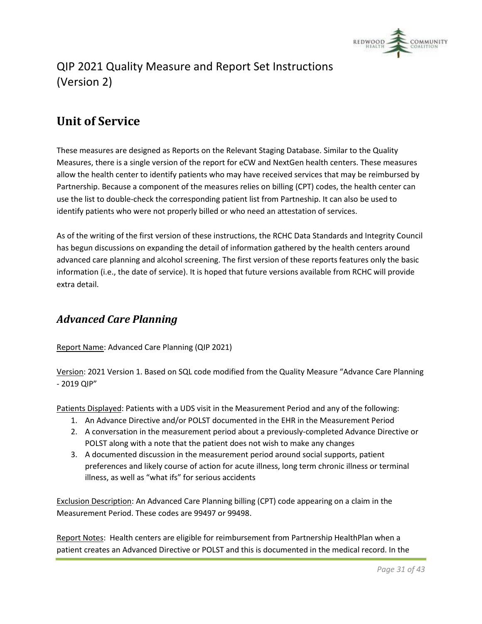

### <span id="page-30-0"></span>**Unit of Service**

These measures are designed as Reports on the Relevant Staging Database. Similar to the Quality Measures, there is a single version of the report for eCW and NextGen health centers. These measures allow the health center to identify patients who may have received services that may be reimbursed by Partnership. Because a component of the measures relies on billing (CPT) codes, the health center can use the list to double-check the corresponding patient list from Partneship. It can also be used to identify patients who were not properly billed or who need an attestation of services.

As of the writing of the first version of these instructions, the RCHC Data Standards and Integrity Council has begun discussions on expanding the detail of information gathered by the health centers around advanced care planning and alcohol screening. The first version of these reports features only the basic information (i.e., the date of service). It is hoped that future versions available from RCHC will provide extra detail.

#### <span id="page-30-1"></span>*Advanced Care Planning*

Report Name: Advanced Care Planning (QIP 2021)

Version: 2021 Version 1. Based on SQL code modified from the Quality Measure "Advance Care Planning  $-2019$  OIP"

Patients Displayed: Patients with a UDS visit in the Measurement Period and any of the following:

- 1. An Advance Directive and/or POLST documented in the EHR in the Measurement Period
- 2. A conversation in the measurement period about a previously-completed Advance Directive or POLST along with a note that the patient does not wish to make any changes
- 3. A documented discussion in the measurement period around social supports, patient preferences and likely course of action for acute illness, long term chronic illness or terminal illness, as well as "what ifs" for serious accidents

Exclusion Description: An Advanced Care Planning billing (CPT) code appearing on a claim in the Measurement Period. These codes are 99497 or 99498.

Report Notes: Health centers are eligible for reimbursement from Partnership HealthPlan when a patient creates an Advanced Directive or POLST and this is documented in the medical record. In the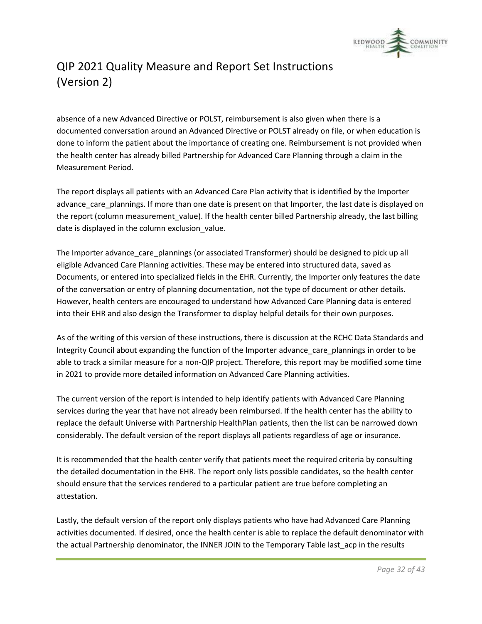

absence of a new Advanced Directive or POLST, reimbursement is also given when there is a documented conversation around an Advanced Directive or POLST already on file, or when education is done to inform the patient about the importance of creating one. Reimbursement is not provided when the health center has already billed Partnership for Advanced Care Planning through a claim in the Measurement Period.

The report displays all patients with an Advanced Care Plan activity that is identified by the Importer advance\_care\_plannings. If more than one date is present on that Importer, the last date is displayed on the report (column measurement\_value). If the health center billed Partnership already, the last billing date is displayed in the column exclusion value.

The Importer advance care plannings (or associated Transformer) should be designed to pick up all eligible Advanced Care Planning activities. These may be entered into structured data, saved as Documents, or entered into specialized fields in the EHR. Currently, the Importer only features the date of the conversation or entry of planning documentation, not the type of document or other details. However, health centers are encouraged to understand how Advanced Care Planning data is entered into their EHR and also design the Transformer to display helpful details for their own purposes.

As of the writing of this version of these instructions, there is discussion at the RCHC Data Standards and Integrity Council about expanding the function of the Importer advance\_care\_plannings in order to be able to track a similar measure for a non-QIP project. Therefore, this report may be modified some time in 2021 to provide more detailed information on Advanced Care Planning activities.

The current version of the report is intended to help identify patients with Advanced Care Planning services during the year that have not already been reimbursed. If the health center has the ability to replace the default Universe with Partnership HealthPlan patients, then the list can be narrowed down considerably. The default version of the report displays all patients regardless of age or insurance.

It is recommended that the health center verify that patients meet the required criteria by consulting the detailed documentation in the EHR. The report only lists possible candidates, so the health center should ensure that the services rendered to a particular patient are true before completing an attestation.

Lastly, the default version of the report only displays patients who have had Advanced Care Planning activities documented. If desired, once the health center is able to replace the default denominator with the actual Partnership denominator, the INNER JOIN to the Temporary Table last\_acp in the results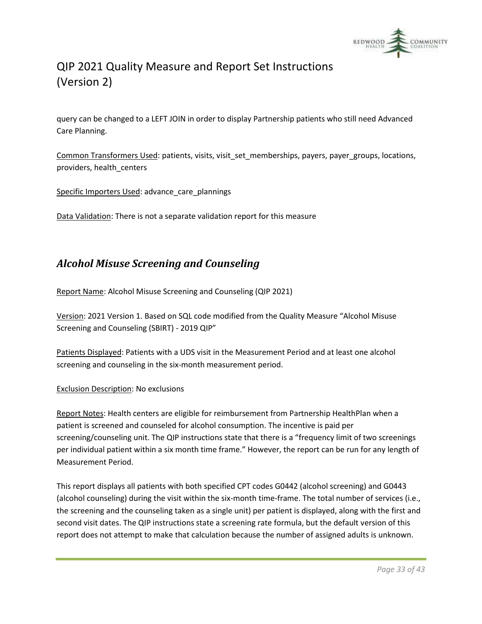

query can be changed to a LEFT JOIN in order to display Partnership patients who still need Advanced Care Planning.

Common Transformers Used: patients, visits, visit\_set\_memberships, payers, payer\_groups, locations, providers, health\_centers

Specific Importers Used: advance\_care\_plannings

Data Validation: There is not a separate validation report for this measure

#### <span id="page-32-0"></span>*Alcohol Misuse Screening and Counseling*

Report Name: Alcohol Misuse Screening and Counseling (QIP 2021)

Version: 2021 Version 1. Based on SQL code modified from the Quality Measure "Alcohol Misuse Screening and Counseling (SBIRT) - 2019 QIP"

Patients Displayed: Patients with a UDS visit in the Measurement Period and at least one alcohol screening and counseling in the six-month measurement period.

#### Exclusion Description: No exclusions

Report Notes: Health centers are eligible for reimbursement from Partnership HealthPlan when a patient is screened and counseled for alcohol consumption. The incentive is paid per screening/counseling unit. The QIP instructions state that there is a "frequency limit of two screenings per individual patient within a six month time frame." However, the report can be run for any length of Measurement Period.

This report displays all patients with both specified CPT codes G0442 (alcohol screening) and G0443 (alcohol counseling) during the visit within the six-month time-frame. The total number of services (i.e., the screening and the counseling taken as a single unit) per patient is displayed, along with the first and second visit dates. The QIP instructions state a screening rate formula, but the default version of this report does not attempt to make that calculation because the number of assigned adults is unknown.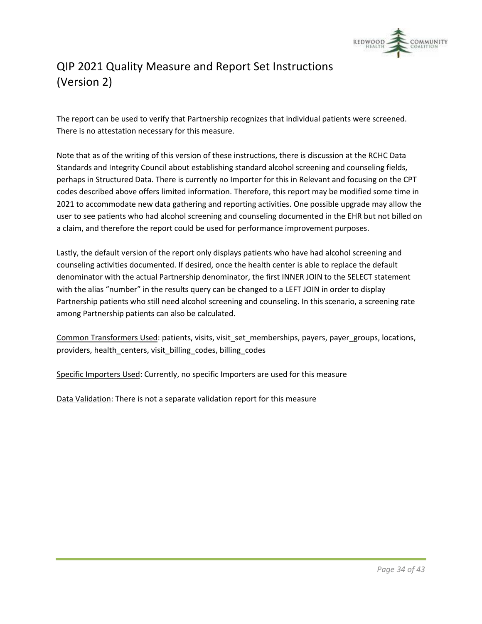

The report can be used to verify that Partnership recognizes that individual patients were screened. There is no attestation necessary for this measure.

Note that as of the writing of this version of these instructions, there is discussion at the RCHC Data Standards and Integrity Council about establishing standard alcohol screening and counseling fields, perhaps in Structured Data. There is currently no Importer for this in Relevant and focusing on the CPT codes described above offers limited information. Therefore, this report may be modified some time in 2021 to accommodate new data gathering and reporting activities. One possible upgrade may allow the user to see patients who had alcohol screening and counseling documented in the EHR but not billed on a claim, and therefore the report could be used for performance improvement purposes.

Lastly, the default version of the report only displays patients who have had alcohol screening and counseling activities documented. If desired, once the health center is able to replace the default denominator with the actual Partnership denominator, the first INNER JOIN to the SELECT statement with the alias "number" in the results query can be changed to a LEFT JOIN in order to display Partnership patients who still need alcohol screening and counseling. In this scenario, a screening rate among Partnership patients can also be calculated.

Common Transformers Used: patients, visits, visit\_set\_memberships, payers, payer\_groups, locations, providers, health\_centers, visit\_billing\_codes, billing\_codes

Specific Importers Used: Currently, no specific Importers are used for this measure

Data Validation: There is not a separate validation report for this measure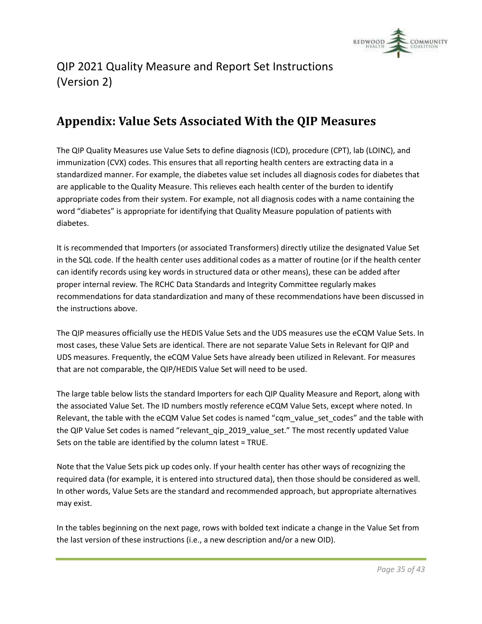

## <span id="page-34-0"></span>**Appendix: Value Sets Associated With the QIP Measures**

The QIP Quality Measures use Value Sets to define diagnosis (ICD), procedure (CPT), lab (LOINC), and immunization (CVX) codes. This ensures that all reporting health centers are extracting data in a standardized manner. For example, the diabetes value set includes all diagnosis codes for diabetes that are applicable to the Quality Measure. This relieves each health center of the burden to identify appropriate codes from their system. For example, not all diagnosis codes with a name containing the word "diabetes" is appropriate for identifying that Quality Measure population of patients with diabetes.

It is recommended that Importers (or associated Transformers) directly utilize the designated Value Set in the SQL code. If the health center uses additional codes as a matter of routine (or if the health center can identify records using key words in structured data or other means), these can be added after proper internal review. The RCHC Data Standards and Integrity Committee regularly makes recommendations for data standardization and many of these recommendations have been discussed in the instructions above.

The QIP measures officially use the HEDIS Value Sets and the UDS measures use the eCQM Value Sets. In most cases, these Value Sets are identical. There are not separate Value Sets in Relevant for QIP and UDS measures. Frequently, the eCQM Value Sets have already been utilized in Relevant. For measures that are not comparable, the QIP/HEDIS Value Set will need to be used.

The large table below lists the standard Importers for each QIP Quality Measure and Report, along with the associated Value Set. The ID numbers mostly reference eCQM Value Sets, except where noted. In Relevant, the table with the eCQM Value Set codes is named "cqm\_value\_set\_codes" and the table with the QIP Value Set codes is named "relevant\_qip\_2019\_value\_set." The most recently updated Value Sets on the table are identified by the column latest = TRUE.

Note that the Value Sets pick up codes only. If your health center has other ways of recognizing the required data (for example, it is entered into structured data), then those should be considered as well. In other words, Value Sets are the standard and recommended approach, but appropriate alternatives may exist.

In the tables beginning on the next page, rows with bolded text indicate a change in the Value Set from the last version of these instructions (i.e., a new description and/or a new OID).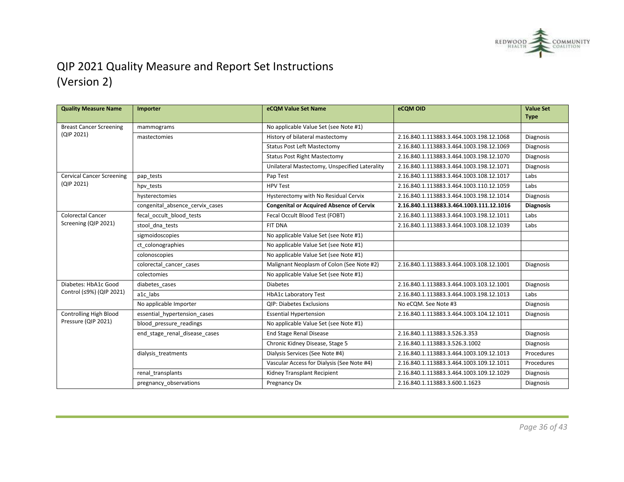

| <b>Quality Measure Name</b>      | Importer                        | eCQM Value Set Name                             | eCQM OID                                 | <b>Value Set</b><br><b>Type</b> |
|----------------------------------|---------------------------------|-------------------------------------------------|------------------------------------------|---------------------------------|
| <b>Breast Cancer Screening</b>   | mammograms                      | No applicable Value Set (see Note #1)           |                                          |                                 |
| (QIP 2021)                       | mastectomies                    | History of bilateral mastectomy                 | 2.16.840.1.113883.3.464.1003.198.12.1068 | <b>Diagnosis</b>                |
|                                  |                                 | <b>Status Post Left Mastectomy</b>              | 2.16.840.1.113883.3.464.1003.198.12.1069 | Diagnosis                       |
|                                  |                                 | <b>Status Post Right Mastectomy</b>             | 2.16.840.1.113883.3.464.1003.198.12.1070 | <b>Diagnosis</b>                |
|                                  |                                 | Unilateral Mastectomy, Unspecified Laterality   | 2.16.840.1.113883.3.464.1003.198.12.1071 | Diagnosis                       |
| <b>Cervical Cancer Screening</b> | pap_tests                       | Pap Test                                        | 2.16.840.1.113883.3.464.1003.108.12.1017 | Labs                            |
| (QIP 2021)                       | hpv tests                       | <b>HPV Test</b>                                 | 2.16.840.1.113883.3.464.1003.110.12.1059 | Labs                            |
|                                  | hysterectomies                  | Hysterectomy with No Residual Cervix            | 2.16.840.1.113883.3.464.1003.198.12.1014 | <b>Diagnosis</b>                |
|                                  | congenital absence cervix cases | <b>Congenital or Acquired Absence of Cervix</b> | 2.16.840.1.113883.3.464.1003.111.12.1016 | <b>Diagnosis</b>                |
| <b>Colorectal Cancer</b>         | fecal occult blood tests        | Fecal Occult Blood Test (FOBT)                  | 2.16.840.1.113883.3.464.1003.198.12.1011 | Labs                            |
| Screening (QIP 2021)             | stool dna tests                 | FIT DNA                                         | 2.16.840.1.113883.3.464.1003.108.12.1039 | Labs                            |
|                                  | sigmoidoscopies                 | No applicable Value Set (see Note #1)           |                                          |                                 |
|                                  | ct colonographies               | No applicable Value Set (see Note #1)           |                                          |                                 |
|                                  | colonoscopies                   | No applicable Value Set (see Note #1)           |                                          |                                 |
|                                  | colorectal cancer cases         | Malignant Neoplasm of Colon (See Note #2)       | 2.16.840.1.113883.3.464.1003.108.12.1001 | <b>Diagnosis</b>                |
|                                  | colectomies                     | No applicable Value Set (see Note #1)           |                                          |                                 |
| Diabetes: HbA1c Good             | diabetes_cases                  | <b>Diabetes</b>                                 | 2.16.840.1.113883.3.464.1003.103.12.1001 | Diagnosis                       |
| Control (≤9%) (QIP 2021)         | a1c labs                        | <b>HbA1c Laboratory Test</b>                    | 2.16.840.1.113883.3.464.1003.198.12.1013 | Labs                            |
|                                  | No applicable Importer          | <b>QIP: Diabetes Exclusions</b>                 | No eCQM. See Note #3                     | <b>Diagnosis</b>                |
| <b>Controlling High Blood</b>    | essential hypertension cases    | <b>Essential Hypertension</b>                   | 2.16.840.1.113883.3.464.1003.104.12.1011 | <b>Diagnosis</b>                |
| Pressure (QIP 2021)              | blood pressure readings         | No applicable Value Set (see Note #1)           |                                          |                                 |
|                                  | end stage renal disease cases   | <b>End Stage Renal Disease</b>                  | 2.16.840.1.113883.3.526.3.353            | <b>Diagnosis</b>                |
|                                  |                                 | Chronic Kidney Disease, Stage 5                 | 2.16.840.1.113883.3.526.3.1002           | Diagnosis                       |
|                                  | dialysis treatments             | Dialysis Services (See Note #4)                 | 2.16.840.1.113883.3.464.1003.109.12.1013 | Procedures                      |
|                                  |                                 | Vascular Access for Dialysis (See Note #4)      | 2.16.840.1.113883.3.464.1003.109.12.1011 | Procedures                      |
|                                  | renal transplants               | Kidney Transplant Recipient                     | 2.16.840.1.113883.3.464.1003.109.12.1029 | Diagnosis                       |
|                                  | pregnancy observations          | Pregnancy Dx                                    | 2.16.840.1.113883.3.600.1.1623           | Diagnosis                       |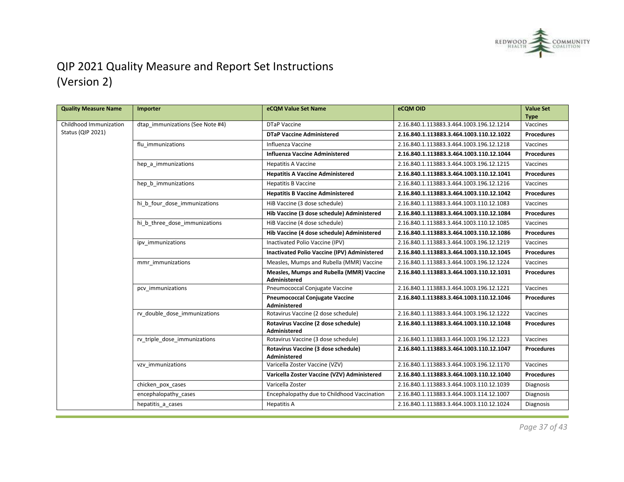

| <b>Quality Measure Name</b> | Importer                         | eCQM Value Set Name                                             | eCQM OID                                 | <b>Value Set</b>  |
|-----------------------------|----------------------------------|-----------------------------------------------------------------|------------------------------------------|-------------------|
|                             |                                  |                                                                 |                                          | <b>Type</b>       |
| Childhood Immunization      | dtap_immunizations (See Note #4) | DTaP Vaccine                                                    | 2.16.840.1.113883.3.464.1003.196.12.1214 | Vaccines          |
| Status (QIP 2021)           |                                  | <b>DTaP Vaccine Administered</b>                                | 2.16.840.1.113883.3.464.1003.110.12.1022 | <b>Procedures</b> |
|                             | flu immunizations                | Influenza Vaccine                                               | 2.16.840.1.113883.3.464.1003.196.12.1218 | Vaccines          |
|                             |                                  | <b>Influenza Vaccine Administered</b>                           | 2.16.840.1.113883.3.464.1003.110.12.1044 | <b>Procedures</b> |
|                             | hep a immunizations              | <b>Hepatitis A Vaccine</b>                                      | 2.16.840.1.113883.3.464.1003.196.12.1215 | Vaccines          |
|                             |                                  | <b>Hepatitis A Vaccine Administered</b>                         | 2.16.840.1.113883.3.464.1003.110.12.1041 | <b>Procedures</b> |
|                             | hep b immunizations              | <b>Hepatitis B Vaccine</b>                                      | 2.16.840.1.113883.3.464.1003.196.12.1216 | Vaccines          |
|                             |                                  | <b>Hepatitis B Vaccine Administered</b>                         | 2.16.840.1.113883.3.464.1003.110.12.1042 | <b>Procedures</b> |
|                             | hi b four dose immunizations     | HiB Vaccine (3 dose schedule)                                   | 2.16.840.1.113883.3.464.1003.110.12.1083 | Vaccines          |
|                             |                                  | Hib Vaccine (3 dose schedule) Administered                      | 2.16.840.1.113883.3.464.1003.110.12.1084 | <b>Procedures</b> |
|                             | hi b three dose immunizations    | HiB Vaccine (4 dose schedule)                                   | 2.16.840.1.113883.3.464.1003.110.12.1085 | Vaccines          |
|                             |                                  | Hib Vaccine (4 dose schedule) Administered                      | 2.16.840.1.113883.3.464.1003.110.12.1086 | <b>Procedures</b> |
|                             | ipv immunizations                | Inactivated Polio Vaccine (IPV)                                 | 2.16.840.1.113883.3.464.1003.196.12.1219 | Vaccines          |
|                             |                                  | <b>Inactivated Polio Vaccine (IPV) Administered</b>             | 2.16.840.1.113883.3.464.1003.110.12.1045 | <b>Procedures</b> |
|                             | mmr immunizations                | Measles, Mumps and Rubella (MMR) Vaccine                        | 2.16.840.1.113883.3.464.1003.196.12.1224 | Vaccines          |
|                             |                                  | Measles, Mumps and Rubella (MMR) Vaccine<br><b>Administered</b> | 2.16.840.1.113883.3.464.1003.110.12.1031 | <b>Procedures</b> |
|                             | pcv_immunizations                | Pneumococcal Conjugate Vaccine                                  | 2.16.840.1.113883.3.464.1003.196.12.1221 | Vaccines          |
|                             |                                  | <b>Pneumococcal Conjugate Vaccine</b><br>Administered           | 2.16.840.1.113883.3.464.1003.110.12.1046 | <b>Procedures</b> |
|                             | rv double dose immunizations     | Rotavirus Vaccine (2 dose schedule)                             | 2.16.840.1.113883.3.464.1003.196.12.1222 | Vaccines          |
|                             |                                  | Rotavirus Vaccine (2 dose schedule)<br><b>Administered</b>      | 2.16.840.1.113883.3.464.1003.110.12.1048 | <b>Procedures</b> |
|                             | rv triple dose immunizations     | Rotavirus Vaccine (3 dose schedule)                             | 2.16.840.1.113883.3.464.1003.196.12.1223 | Vaccines          |
|                             |                                  | Rotavirus Vaccine (3 dose schedule)<br><b>Administered</b>      | 2.16.840.1.113883.3.464.1003.110.12.1047 | <b>Procedures</b> |
|                             | vzv immunizations                | Varicella Zoster Vaccine (VZV)                                  | 2.16.840.1.113883.3.464.1003.196.12.1170 | Vaccines          |
|                             |                                  | Varicella Zoster Vaccine (VZV) Administered                     | 2.16.840.1.113883.3.464.1003.110.12.1040 | <b>Procedures</b> |
|                             | chicken_pox_cases                | Varicella Zoster                                                | 2.16.840.1.113883.3.464.1003.110.12.1039 | Diagnosis         |
|                             | encephalopathy cases             | Encephalopathy due to Childhood Vaccination                     | 2.16.840.1.113883.3.464.1003.114.12.1007 | Diagnosis         |
|                             | hepatitis a cases                | <b>Hepatitis A</b>                                              | 2.16.840.1.113883.3.464.1003.110.12.1024 | Diagnosis         |

*Page 37 of 43*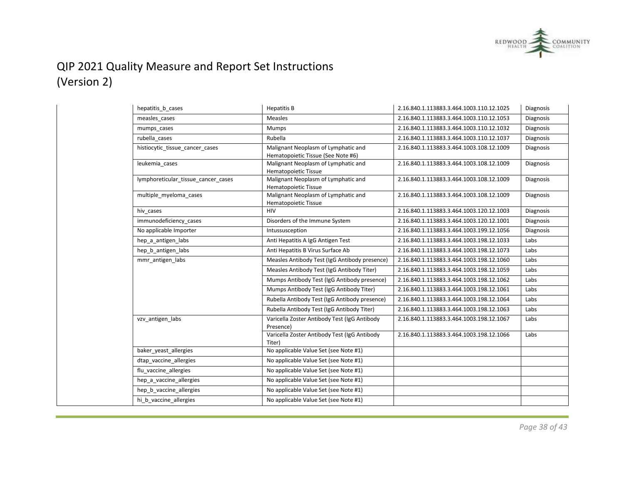

| hepatitis b cases                   | <b>Hepatitis B</b>                                                        | 2.16.840.1.113883.3.464.1003.110.12.1025 | Diagnosis |
|-------------------------------------|---------------------------------------------------------------------------|------------------------------------------|-----------|
| measles_cases                       | <b>Measles</b>                                                            | 2.16.840.1.113883.3.464.1003.110.12.1053 | Diagnosis |
| mumps_cases                         | Mumps                                                                     | 2.16.840.1.113883.3.464.1003.110.12.1032 | Diagnosis |
| rubella cases                       | Rubella                                                                   | 2.16.840.1.113883.3.464.1003.110.12.1037 | Diagnosis |
| histiocytic tissue cancer cases     | Malignant Neoplasm of Lymphatic and<br>Hematopoietic Tissue (See Note #6) | 2.16.840.1.113883.3.464.1003.108.12.1009 | Diagnosis |
| leukemia_cases                      | Malignant Neoplasm of Lymphatic and<br>Hematopoietic Tissue               | 2.16.840.1.113883.3.464.1003.108.12.1009 | Diagnosis |
| lymphoreticular_tissue_cancer_cases | Malignant Neoplasm of Lymphatic and<br>Hematopoietic Tissue               | 2.16.840.1.113883.3.464.1003.108.12.1009 | Diagnosis |
| multiple myeloma cases              | Malignant Neoplasm of Lymphatic and<br>Hematopoietic Tissue               | 2.16.840.1.113883.3.464.1003.108.12.1009 | Diagnosis |
| hiv cases                           | <b>HIV</b>                                                                | 2.16.840.1.113883.3.464.1003.120.12.1003 | Diagnosis |
| immunodeficiency cases              | Disorders of the Immune System                                            | 2.16.840.1.113883.3.464.1003.120.12.1001 | Diagnosis |
| No applicable Importer              | Intussusception                                                           | 2.16.840.1.113883.3.464.1003.199.12.1056 | Diagnosis |
| hep a antigen labs                  | Anti Hepatitis A IgG Antigen Test                                         | 2.16.840.1.113883.3.464.1003.198.12.1033 | Labs      |
| hep b antigen labs                  | Anti Hepatitis B Virus Surface Ab                                         | 2.16.840.1.113883.3.464.1003.198.12.1073 | Labs      |
| mmr antigen labs                    | Measles Antibody Test (IgG Antibody presence)                             | 2.16.840.1.113883.3.464.1003.198.12.1060 | Labs      |
|                                     | Measles Antibody Test (IgG Antibody Titer)                                | 2.16.840.1.113883.3.464.1003.198.12.1059 | Labs      |
|                                     | Mumps Antibody Test (IgG Antibody presence)                               | 2.16.840.1.113883.3.464.1003.198.12.1062 | Labs      |
|                                     | Mumps Antibody Test (IgG Antibody Titer)                                  | 2.16.840.1.113883.3.464.1003.198.12.1061 | Labs      |
|                                     | Rubella Antibody Test (IgG Antibody presence)                             | 2.16.840.1.113883.3.464.1003.198.12.1064 | Labs      |
|                                     | Rubella Antibody Test (IgG Antibody Titer)                                | 2.16.840.1.113883.3.464.1003.198.12.1063 | Labs      |
| vzv antigen labs                    | Varicella Zoster Antibody Test (IgG Antibody<br>Presence)                 | 2.16.840.1.113883.3.464.1003.198.12.1067 | Labs      |
|                                     | Varicella Zoster Antibody Test (IgG Antibody<br>Titer)                    | 2.16.840.1.113883.3.464.1003.198.12.1066 | Labs      |
| baker_yeast_allergies               | No applicable Value Set (see Note #1)                                     |                                          |           |
| dtap vaccine allergies              | No applicable Value Set (see Note #1)                                     |                                          |           |
| flu vaccine allergies               | No applicable Value Set (see Note #1)                                     |                                          |           |
| hep_a_vaccine_allergies             | No applicable Value Set (see Note #1)                                     |                                          |           |
| hep b vaccine allergies             | No applicable Value Set (see Note #1)                                     |                                          |           |
| hi b vaccine allergies              | No applicable Value Set (see Note #1)                                     |                                          |           |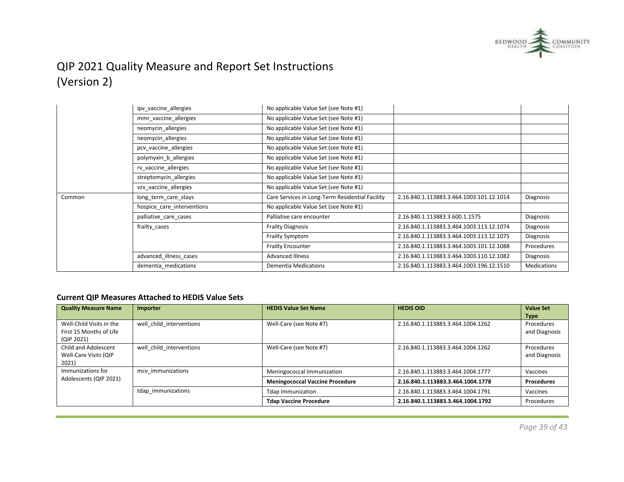

|        | ipv vaccine allergies      | No applicable Value Set (see Note #1)           |                                          |                    |
|--------|----------------------------|-------------------------------------------------|------------------------------------------|--------------------|
|        | mmr_vaccine_allergies      | No applicable Value Set (see Note #1)           |                                          |                    |
|        | neomycin allergies         | No applicable Value Set (see Note #1)           |                                          |                    |
|        | neomycin allergies         | No applicable Value Set (see Note #1)           |                                          |                    |
|        | pcv_vaccine_allergies      | No applicable Value Set (see Note #1)           |                                          |                    |
|        | polymyxin_b_allergies      | No applicable Value Set (see Note #1)           |                                          |                    |
|        | rv vaccine allergies       | No applicable Value Set (see Note #1)           |                                          |                    |
|        | streptomycin allergies     | No applicable Value Set (see Note #1)           |                                          |                    |
|        | vzv_vaccine_allergies      | No applicable Value Set (see Note #1)           |                                          |                    |
| Common | long term care stays       | Care Services in Long-Term Residential Facility | 2.16.840.1.113883.3.464.1003.101.12.1014 | Diagnosis          |
|        | hospice care interventions | No applicable Value Set (see Note #1)           |                                          |                    |
|        | palliative_care_cases      | Palliative care encounter                       | 2.16.840.1.113883.3.600.1.1575           | Diagnosis          |
|        | frailty_cases              | <b>Frailty Diagnosis</b>                        | 2.16.840.1.113883.3.464.1003.113.12.1074 | Diagnosis          |
|        |                            | Frailty Symptom                                 | 2.16.840.1.113883.3.464.1003.113.12.1075 | Diagnosis          |
|        |                            | <b>Frailty Encounter</b>                        | 2.16.840.1.113883.3.464.1003.101.12.1088 | Procedures         |
|        | advanced illness cases     | <b>Advanced Illness</b>                         | 2.16.840.1.113883.3.464.1003.110.12.1082 | Diagnosis          |
|        | dementia medications       | <b>Dementia Medications</b>                     | 2.16.840.1.113883.3.464.1003.196.12.1510 | <b>Medications</b> |

#### **Current QIP Measures Attached to HEDIS Value Sets**

| <b>Quality Measure Name</b>                 | Importer                 | <b>HEDIS Value Set Name</b>            | <b>HEDIS OID</b>                  | <b>Value Set</b>  |
|---------------------------------------------|--------------------------|----------------------------------------|-----------------------------------|-------------------|
|                                             |                          |                                        |                                   | <b>Type</b>       |
| Well-Child Visits in the                    | well child interventions | Well-Care (see Note #7)                | 2.16.840.1.113883.3.464.1004.1262 | Procedures        |
| First 15 Months of Life                     |                          |                                        |                                   | and Diagnosis     |
| (QIP 2021)                                  |                          |                                        |                                   |                   |
| Child and Adolescent                        | well child interventions | Well-Care (see Note #7)                | 2.16.840.1.113883.3.464.1004.1262 | Procedures        |
| Well-Care Visits (QIP                       |                          |                                        |                                   | and Diagnosis     |
| 2021)                                       |                          |                                        |                                   |                   |
| Immunizations for<br>Adolescents (QIP 2021) | mcv immunizations        | Meningococcal Immunization             | 2.16.840.1.113883.3.464.1004.1777 | Vaccines          |
|                                             |                          | <b>Meningococcal Vaccine Procedure</b> | 2.16.840.1.113883.3.464.1004.1778 | <b>Procedures</b> |
|                                             | tdap immunizations       | <b>Tdap Immunization</b>               | 2.16.840.1.113883.3.464.1004.1791 | Vaccines          |
|                                             |                          | <b>Tdap Vaccine Procedure</b>          | 2.16.840.1.113883.3.464.1004.1792 | Procedures        |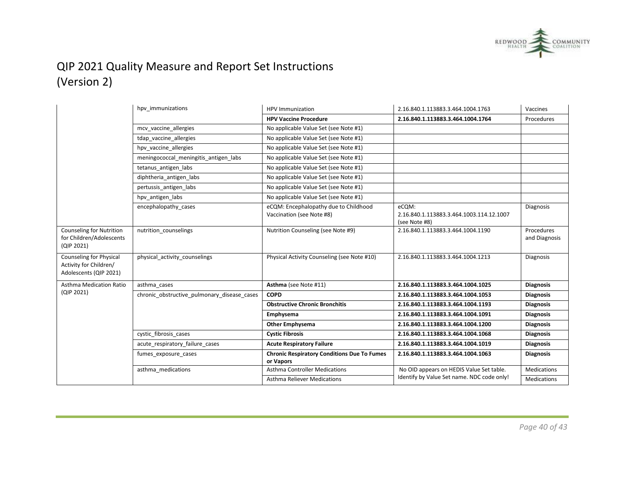

|                                                                             | hpv immunizations                           | <b>HPV Immunization</b>                                            | 2.16.840.1.113883.3.464.1004.1763                                  | Vaccines                    |
|-----------------------------------------------------------------------------|---------------------------------------------|--------------------------------------------------------------------|--------------------------------------------------------------------|-----------------------------|
|                                                                             |                                             | <b>HPV Vaccine Procedure</b>                                       | 2.16.840.1.113883.3.464.1004.1764                                  | Procedures                  |
|                                                                             | mcv vaccine allergies                       | No applicable Value Set (see Note #1)                              |                                                                    |                             |
|                                                                             | tdap vaccine allergies                      | No applicable Value Set (see Note #1)                              |                                                                    |                             |
|                                                                             | hpv vaccine allergies                       | No applicable Value Set (see Note #1)                              |                                                                    |                             |
|                                                                             | meningococcal meningitis antigen labs       | No applicable Value Set (see Note #1)                              |                                                                    |                             |
|                                                                             | tetanus antigen labs                        | No applicable Value Set (see Note #1)                              |                                                                    |                             |
|                                                                             | diphtheria antigen labs                     | No applicable Value Set (see Note #1)                              |                                                                    |                             |
|                                                                             | pertussis antigen labs                      | No applicable Value Set (see Note #1)                              |                                                                    |                             |
|                                                                             | hpv antigen labs                            | No applicable Value Set (see Note #1)                              |                                                                    |                             |
|                                                                             | encephalopathy cases                        | eCQM: Encephalopathy due to Childhood<br>Vaccination (see Note #8) | eCQM:<br>2.16.840.1.113883.3.464.1003.114.12.1007<br>(see Note #8) | Diagnosis                   |
| <b>Counseling for Nutrition</b><br>for Children/Adolescents<br>(QIP 2021)   | nutrition counselings                       | Nutrition Counseling (see Note #9)                                 | 2.16.840.1.113883.3.464.1004.1190                                  | Procedures<br>and Diagnosis |
| Counseling for Physical<br>Activity for Children/<br>Adolescents (QIP 2021) | physical activity counselings               | Physical Activity Counseling (see Note #10)                        | 2.16.840.1.113883.3.464.1004.1213                                  | Diagnosis                   |
| <b>Asthma Medication Ratio</b>                                              | asthma cases                                | Asthma (see Note #11)                                              | 2.16.840.1.113883.3.464.1004.1025                                  | <b>Diagnosis</b>            |
| (QIP 2021)                                                                  | chronic obstructive pulmonary disease cases | <b>COPD</b>                                                        | 2.16.840.1.113883.3.464.1004.1053                                  | <b>Diagnosis</b>            |
|                                                                             |                                             | <b>Obstructive Chronic Bronchitis</b>                              | 2.16.840.1.113883.3.464.1004.1193                                  | <b>Diagnosis</b>            |
|                                                                             |                                             | Emphysema                                                          | 2.16.840.1.113883.3.464.1004.1091                                  | <b>Diagnosis</b>            |
|                                                                             |                                             | <b>Other Emphysema</b>                                             | 2.16.840.1.113883.3.464.1004.1200                                  | <b>Diagnosis</b>            |
|                                                                             | cystic fibrosis cases                       | <b>Cystic Fibrosis</b>                                             | 2.16.840.1.113883.3.464.1004.1068                                  | <b>Diagnosis</b>            |
|                                                                             | acute respiratory failure cases             | <b>Acute Respiratory Failure</b>                                   | 2.16.840.1.113883.3.464.1004.1019                                  | <b>Diagnosis</b>            |
|                                                                             | fumes exposure cases                        | <b>Chronic Respiratory Conditions Due To Fumes</b><br>or Vapors    | 2.16.840.1.113883.3.464.1004.1063                                  | <b>Diagnosis</b>            |
|                                                                             | asthma medications                          | <b>Asthma Controller Medications</b>                               | No OID appears on HEDIS Value Set table.                           | <b>Medications</b>          |
|                                                                             |                                             | <b>Asthma Reliever Medications</b>                                 | Identify by Value Set name. NDC code only!                         | <b>Medications</b>          |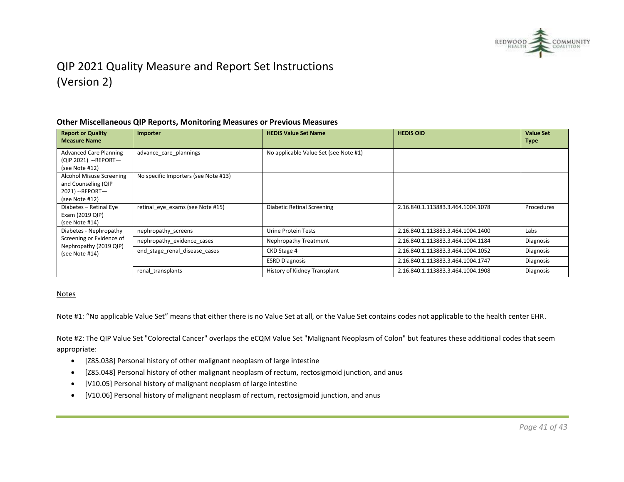

#### **Other Miscellaneous QIP Reports, Monitoring Measures or Previous Measures**

| <b>Report or Quality</b><br><b>Measure Name</b>                                       | Importer                             | <b>HEDIS Value Set Name</b>           | <b>HEDIS OID</b>                  | <b>Value Set</b><br><b>Type</b> |
|---------------------------------------------------------------------------------------|--------------------------------------|---------------------------------------|-----------------------------------|---------------------------------|
| <b>Advanced Care Planning</b><br>(QIP 2021) -- REPORT-<br>(see Note #12)              | advance care plannings               | No applicable Value Set (see Note #1) |                                   |                                 |
| Alcohol Misuse Screening<br>and Counseling (QIP<br>2021) -- REPORT-<br>(see Note #12) | No specific Importers (see Note #13) |                                       |                                   |                                 |
| Diabetes – Retinal Eye<br>Exam (2019 QIP)<br>(see Note #14)                           | retinal eye exams (see Note #15)     | Diabetic Retinal Screening            | 2.16.840.1.113883.3.464.1004.1078 | Procedures                      |
| Diabetes - Nephropathy                                                                | nephropathy screens                  | <b>Urine Protein Tests</b>            | 2.16.840.1.113883.3.464.1004.1400 | Labs                            |
| Screening or Evidence of<br>Nephropathy (2019 QIP)<br>(see Note #14)                  | nephropathy_evidence_cases           | Nephropathy Treatment                 | 2.16.840.1.113883.3.464.1004.1184 | Diagnosis                       |
|                                                                                       | end stage renal disease cases        | CKD Stage 4                           | 2.16.840.1.113883.3.464.1004.1052 | Diagnosis                       |
|                                                                                       |                                      | <b>ESRD Diagnosis</b>                 | 2.16.840.1.113883.3.464.1004.1747 | Diagnosis                       |
|                                                                                       | renal transplants                    | History of Kidney Transplant          | 2.16.840.1.113883.3.464.1004.1908 | Diagnosis                       |

#### Notes

Note #1: "No applicable Value Set" means that either there is no Value Set at all, or the Value Set contains codes not applicable to the health center EHR.

Note #2: The QIP Value Set "Colorectal Cancer" overlaps the eCQM Value Set "Malignant Neoplasm of Colon" but features these additional codes that seem appropriate:

- [Z85.038] Personal history of other malignant neoplasm of large intestine
- [Z85.048] Personal history of other malignant neoplasm of rectum, rectosigmoid junction, and anus
- [V10.05] Personal history of malignant neoplasm of large intestine
- [V10.06] Personal history of malignant neoplasm of rectum, rectosigmoid junction, and anus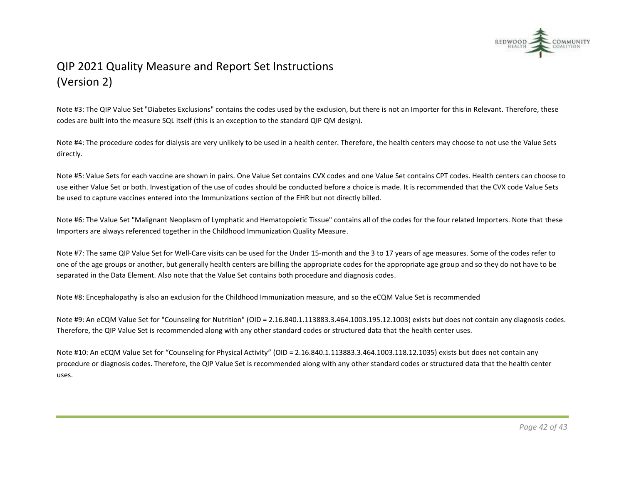

Note #3: The QIP Value Set "Diabetes Exclusions" contains the codes used by the exclusion, but there is not an Importer for this in Relevant. Therefore, these codes are built into the measure SQL itself (this is an exception to the standard QIP QM design).

Note #4: The procedure codes for dialysis are very unlikely to be used in a health center. Therefore, the health centers may choose to not use the Value Sets directly.

Note #5: Value Sets for each vaccine are shown in pairs. One Value Set contains CVX codes and one Value Set contains CPT codes. Health centers can choose to use either Value Set or both. Investigation of the use of codes should be conducted before a choice is made. It is recommended that the CVX code Value Sets be used to capture vaccines entered into the Immunizations section of the EHR but not directly billed.

Note #6: The Value Set "Malignant Neoplasm of Lymphatic and Hematopoietic Tissue" contains all of the codes for the four related Importers. Note that these Importers are always referenced together in the Childhood Immunization Quality Measure.

Note #7: The same QIP Value Set for Well-Care visits can be used for the Under 15-month and the 3 to 17 years of age measures. Some of the codes refer to one of the age groups or another, but generally health centers are billing the appropriate codes for the appropriate age group and so they do not have to be separated in the Data Element. Also note that the Value Set contains both procedure and diagnosis codes.

Note #8: Encephalopathy is also an exclusion for the Childhood Immunization measure, and so the eCQM Value Set is recommended

Note #9: An eCQM Value Set for "Counseling for Nutrition" (OID = 2.16.840.1.113883.3.464.1003.195.12.1003) exists but does not contain any diagnosis codes. Therefore, the QIP Value Set is recommended along with any other standard codes or structured data that the health center uses.

Note #10: An eCQM Value Set for "Counseling for Physical Activity" (OID = 2.16.840.1.113883.3.464.1003.118.12.1035) exists but does not contain any procedure or diagnosis codes. Therefore, the QIP Value Set is recommended along with any other standard codes or structured data that the health center uses.